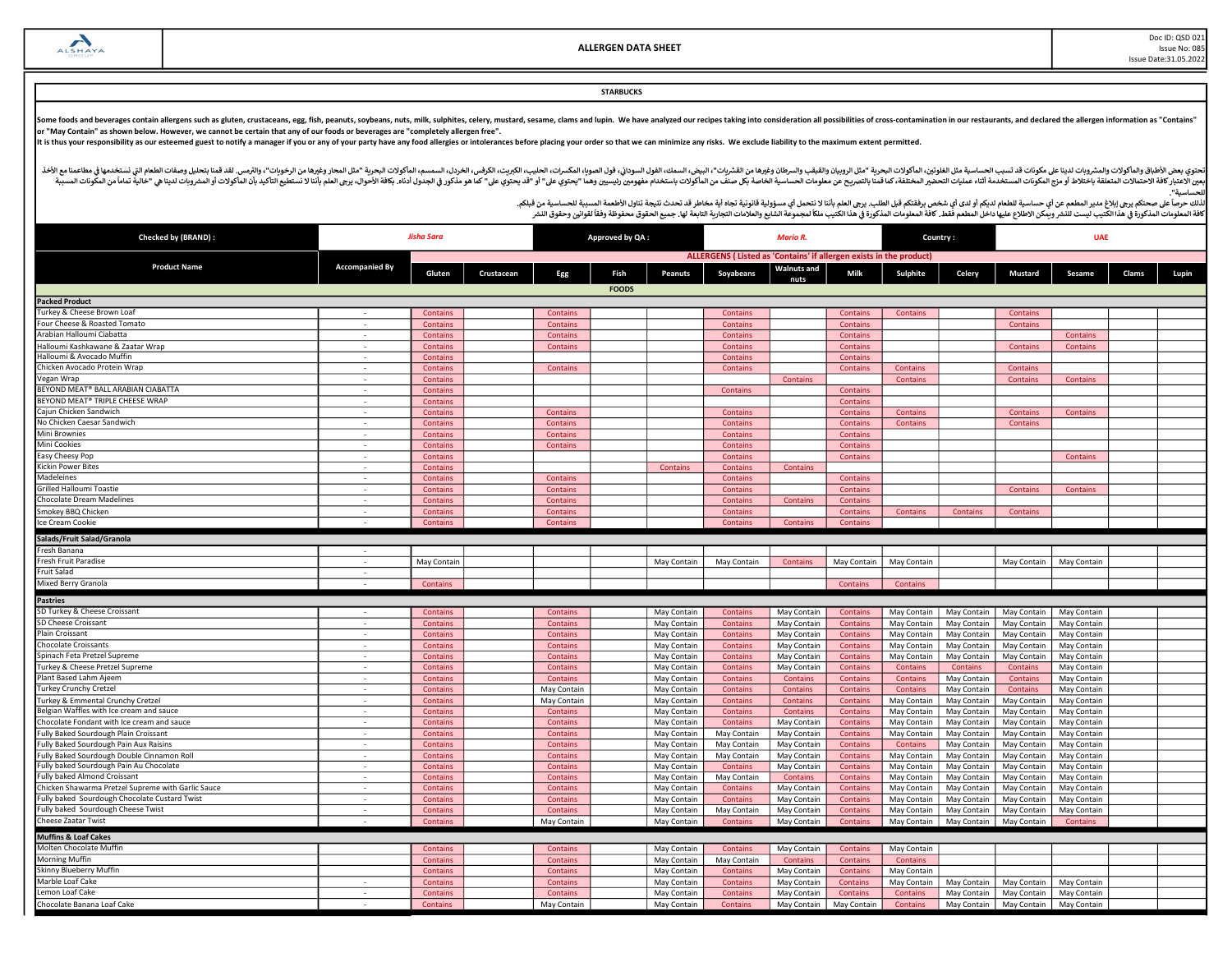Doc ID: QSD 021 Issue No: 085 Issue Date:31.05.2022

# **STARBUCKS**

Some foods and beverages contain allergens such as gluten, crustaceans, egg, fish, peanuts, soybeans, nuts, milk, sulphites, celery, mustard, sesame, clams and lupin. We have analyzed our recipes taking into consideration

It is thus your responsibility as our esteemed guest to notify a manager if you or any of your party have any food allergies or intolerances before placing your order so that we can minimize any risks. We exclude liability

أفخاله والمأكولات والمشروبات لدينا علىمكونات قد تسبب الحساسية مثل الطغورين الماكولات البودرية "مثل الروبيان والمقب والسودان وغيرها من الشروب والمعاشر ومغرها مناسب الموادا والموداء المروس الموادر الموداء المواس والمعامل الم مستر به المستر به المستر به المستخدمة التاريخية المستر المستر المستر المستر المستر المستر المستر المستر المستر المستر المستر المستر المستر المستر المستر المستر المستر المستر المستر المستر المستر المستر المستر المستر المست للحساسᘭة".

| Checked by (BRAND) :                               | <b>Jisha Sara</b>        |                 |            | Approved by QA: |              |                 | Country:<br>Mario R                                                |                    |                 |             | <b>UAE</b>      |                 |                 |       |       |
|----------------------------------------------------|--------------------------|-----------------|------------|-----------------|--------------|-----------------|--------------------------------------------------------------------|--------------------|-----------------|-------------|-----------------|-----------------|-----------------|-------|-------|
|                                                    |                          |                 |            |                 |              |                 | ALLERGENS (Listed as 'Contains' if allergen exists in the product) |                    |                 |             |                 |                 |                 |       |       |
| <b>Product Name</b>                                | <b>Accompanied By</b>    | Gluten          | Crustacean | Egg             | Fish         | <b>Peanuts</b>  | Soyabeans                                                          | <b>Walnuts and</b> | Milk            | Sulphite    | Celery          | <b>Mustard</b>  | Sesame          | Clams | Lupin |
|                                                    |                          |                 |            |                 | <b>FOODS</b> |                 |                                                                    |                    |                 |             |                 |                 |                 |       |       |
| <b>Packed Product</b>                              |                          |                 |            |                 |              |                 |                                                                    |                    |                 |             |                 |                 |                 |       |       |
| Turkey & Cheese Brown Loaf                         |                          | Contains        |            | Contains        |              |                 | Contains                                                           |                    | <b>Contains</b> | Contains    |                 | Contains        |                 |       |       |
| Four Cheese & Roasted Tomato                       | $\overline{\phantom{a}}$ | Contains        |            | Contains        |              |                 | <b>Contains</b>                                                    |                    | <b>Contains</b> |             |                 | <b>Contains</b> |                 |       |       |
| Arabian Halloumi Ciabatta                          |                          | Contains        |            | Contains        |              |                 | Contains                                                           |                    | <b>Contains</b> |             |                 |                 | <b>Contains</b> |       |       |
| Halloumi Kashkawane & Zaatar Wrap                  | $\sim$                   | <b>Contains</b> |            | Contains        |              |                 | <b>Contains</b>                                                    |                    | <b>Contains</b> |             |                 | Contains        | <b>Contains</b> |       |       |
| Halloumi & Avocado Muffin                          | $\sim$                   | Contains        |            |                 |              |                 | Contains                                                           |                    | <b>Contains</b> |             |                 |                 |                 |       |       |
| Chicken Avocado Protein Wrap                       |                          | Contains        |            | Contains        |              |                 | <b>Contains</b>                                                    |                    | <b>Contains</b> | Contains    |                 | Contains        |                 |       |       |
| Vegan Wrap                                         | $\sim$                   | Contains        |            |                 |              |                 |                                                                    | Contains           |                 | Contains    |                 | Contains        | <b>Contains</b> |       |       |
| BEYOND MEAT® BALL ARABIAN CIABATTA                 | ٠                        | Contains        |            |                 |              |                 | Contains                                                           |                    | <b>Contains</b> |             |                 |                 |                 |       |       |
| BEYOND MEAT® TRIPLE CHEESE WRAP                    | $\sim$                   | Contains        |            |                 |              |                 |                                                                    |                    | <b>Contains</b> |             |                 |                 |                 |       |       |
| Cajun Chicken Sandwich                             | $\sim$                   | Contains        |            | Contains        |              |                 | <b>Contains</b>                                                    |                    | <b>Contains</b> | Contains    |                 | Contains        | Contains        |       |       |
| No Chicken Caesar Sandwich                         |                          | <b>Contains</b> |            | <b>Contains</b> |              |                 | Contains                                                           |                    | <b>Contains</b> | Contains    |                 | Contains        |                 |       |       |
| Mini Brownies                                      | $\sim$                   | Contains        |            | <b>Contains</b> |              |                 | Contains                                                           |                    | <b>Contains</b> |             |                 |                 |                 |       |       |
| Mini Cookies                                       | $\sim$                   | Contains        |            | <b>Contains</b> |              |                 | Contains                                                           |                    | <b>Contains</b> |             |                 |                 |                 |       |       |
| Easy Cheesy Pop                                    | $\sim$                   | Contains        |            |                 |              |                 | <b>Contains</b>                                                    |                    | <b>Contains</b> |             |                 |                 | <b>Contains</b> |       |       |
| <b>Kickin Power Bites</b>                          | $\overline{a}$           | Contains        |            |                 |              | <b>Contains</b> | Contains                                                           | Contains           |                 |             |                 |                 |                 |       |       |
| Madeleines                                         | $\sim$                   | Contains        |            | <b>Contains</b> |              |                 | Contains                                                           |                    | <b>Contains</b> |             |                 |                 |                 |       |       |
| <b>Grilled Halloumi Toastie</b>                    | $\sim$                   | <b>Contains</b> |            | Contains        |              |                 | Contains                                                           |                    | <b>Contains</b> |             |                 | Contains        | Contains        |       |       |
| Chocolate Dream Madelines                          |                          | Contains        |            | <b>Contains</b> |              |                 | Contains                                                           | Contains           | <b>Contains</b> |             |                 |                 |                 |       |       |
| Smokey BBQ Chicken                                 | $\sim$                   | Contains        |            | <b>Contains</b> |              |                 | Contains                                                           |                    | <b>Contains</b> | Contains    | <b>Contains</b> | Contains        |                 |       |       |
| Ice Cream Cookie                                   |                          | Contains        |            | Contains        |              |                 | Contains                                                           | Contains           | <b>Contains</b> |             |                 |                 |                 |       |       |
| Salads/Fruit Salad/Granola                         |                          |                 |            |                 |              |                 |                                                                    |                    |                 |             |                 |                 |                 |       |       |
| Fresh Banana                                       |                          |                 |            |                 |              |                 |                                                                    |                    |                 |             |                 |                 |                 |       |       |
| Fresh Fruit Paradise                               | $\sim$                   | May Contain     |            |                 |              | May Contain     | May Contain                                                        | <b>Contains</b>    | May Contain     | May Contain |                 | May Contain     | May Contain     |       |       |
| Fruit Salad                                        |                          |                 |            |                 |              |                 |                                                                    |                    |                 |             |                 |                 |                 |       |       |
| Mixed Berry Granola                                |                          | Contains        |            |                 |              |                 |                                                                    |                    | Contains        | Contains    |                 |                 |                 |       |       |
| <b>Pastries</b>                                    |                          |                 |            |                 |              |                 |                                                                    |                    |                 |             |                 |                 |                 |       |       |
| SD Turkey & Cheese Croissant                       |                          | Contains        |            | <b>Contains</b> |              | May Contain     | Contains                                                           | May Contain        | <b>Contains</b> | May Contain | May Contain     | May Contain     | May Contain     |       |       |
| SD Cheese Croissant                                |                          | Contains        |            | <b>Contains</b> |              | May Contain     | Contains                                                           | May Contain        | <b>Contains</b> | May Contain | May Contain     | May Contain     | May Contain     |       |       |
| Plain Croissant                                    | $\sim$                   | Contains        |            | Contains        |              | May Contain     | <b>Contains</b>                                                    | May Contain        | <b>Contains</b> | May Contain | May Contain     | May Contain     | May Contain     |       |       |
| <b>Chocolate Croissants</b>                        |                          | Contains        |            | Contains        |              | May Contain     | <b>Contains</b>                                                    | May Contain        | <b>Contains</b> | May Contain | May Contair     | May Contain     | May Contain     |       |       |
| Spinach Feta Pretzel Supreme                       | $\sim$                   | Contains        |            | Contains        |              | May Contain     | Contains                                                           | May Contain        | <b>Contains</b> | May Contain | May Contain     | May Contain     | May Contain     |       |       |
| Turkey & Cheese Pretzel Supreme                    | ÷.                       | Contains        |            | Contains        |              | May Contain     | Contains                                                           | May Contain        | <b>Contains</b> | Contains    | Contains        | Contains        | May Contain     |       |       |
| Plant Based Lahm Ajeem                             | $\sim$                   | <b>Contains</b> |            | Contains        |              | May Contain     | Contains                                                           | Contains           | <b>Contains</b> | Contains    | May Contain     | Contains        | May Contain     |       |       |
| Turkey Crunchy Cretzel                             | $\sim$                   | Contains        |            | May Contain     |              | May Contain     | Contains                                                           | <b>Contains</b>    | <b>Contains</b> | Contains    | May Contain     | Contains        | May Contain     |       |       |
| Turkey & Emmental Crunchy Cretzel                  | $\sim$                   | Contains        |            | May Contain     |              | May Contain     | Contains                                                           | Contains           | Contains        | May Contain | May Contain     | May Contain     | May Contain     |       |       |
| Belgian Waffles with Ice cream and sauce           | $\sim$                   | Contains        |            | Contains        |              | May Contain     | <b>Contains</b>                                                    | Contains           | <b>Contains</b> | May Contain | May Contain     | May Contain     | May Contain     |       |       |
| Chocolate Fondant with Ice cream and sauce         | $\overline{a}$           | Contains        |            | <b>Contains</b> |              | May Contain     | Contains                                                           | May Contain        | <b>Contains</b> | May Contair | May Contair     | May Contain     | May Contain     |       |       |
| Fully Baked Sourdough Plain Croissant              | $\sim$                   | Contains        |            | Contains        |              | May Contain     | May Contain                                                        | May Contain        | <b>Contains</b> | May Contain | May Contain     | May Contain     | May Contain     |       |       |
| Fully Baked Sourdough Pain Aux Raisins             | $\sim$                   | <b>Contains</b> |            | <b>Contains</b> |              | May Contain     | May Contain                                                        | May Contain        | <b>Contains</b> | Contains    | May Contain     | May Contain     | May Contain     |       |       |
| Fully Baked Sourdough Double Cinnamon Roll         |                          | Contains        |            | Contains        |              | May Contain     | May Contain                                                        | May Contain        | <b>Contains</b> | May Contain | May Contain     | May Contain     | May Contain     |       |       |
| Fully baked Sourdough Pain Au Chocolate            | $\sim$                   | Contains        |            | <b>Contains</b> |              | May Contain     | Contains                                                           | May Contain        | Contains        | May Contain | May Contain     | May Contain     | May Contain     |       |       |
| Fully baked Almond Croissant                       |                          | Contains        |            | Contains        |              | May Contain     | May Contair                                                        | Contains           | <b>Contains</b> | May Contain | May Contair     | May Contain     | May Contain     |       |       |
| Chicken Shawarma Pretzel Supreme with Garlic Sauce | $\sim$                   | Contains        |            | Contains        |              | May Contain     | Contains                                                           | May Contain        | <b>Contains</b> | May Contain | May Contain     | May Contain     | May Contain     |       |       |
| Fully baked Sourdough Chocolate Custard Twist      | $\sim$                   | Contains        |            | Contains        |              | May Contain     | Contains                                                           | May Contain        | <b>Contains</b> | May Contain | May Contain     | May Contain     | May Contain     |       |       |
| Fully baked Sourdough Cheese Twist                 |                          | Contains        |            | <b>Contains</b> |              | May Contain     | May Contain                                                        | May Contain        | <b>Contains</b> | May Contain | May Contain     | May Contain     | May Contain     |       |       |
| Cheese Zaatar Twist                                |                          | Contains        |            | May Contain     |              | May Contain     | Contains                                                           | May Contain        | <b>Contains</b> | May Contain | May Contain     | May Contain     | <b>Contains</b> |       |       |
| <b>Muffins &amp; Loaf Cakes</b>                    |                          |                 |            |                 |              |                 |                                                                    |                    |                 |             |                 |                 |                 |       |       |
| Molten Chocolate Muffin                            |                          | Contains        |            | Contains        |              | May Contain     | Contains                                                           | May Contain        | <b>Contains</b> | May Contain |                 |                 |                 |       |       |
| Morning Muffin                                     |                          | Contains        |            | <b>Contains</b> |              | May Contain     | May Contain                                                        | Contains           | <b>Contains</b> | Contains    |                 |                 |                 |       |       |
| Skinny Blueberry Muffin                            |                          | Contains        |            | Contains        |              | May Contain     | <b>Contains</b>                                                    | May Contain        | <b>Contains</b> | May Contain |                 |                 |                 |       |       |
| Marble Loaf Cake                                   |                          | Contains        |            | Contains        |              | May Contain     | Contains                                                           | May Contain        | <b>Contains</b> | May Contain | May Contain     | May Contain     | May Contain     |       |       |
| Lemon Loaf Cake                                    | $\sim$                   | Contains        |            | Contains        |              | May Contain     | Contains                                                           | May Contain        | Contains        | Contains    | May Contain     | May Contain     | May Contain     |       |       |
| Chocolate Banana Loaf Cake                         | $\sim$                   | <b>Contains</b> |            | May Contain     |              | May Contain     | Contains                                                           | May Contain        | May Contain     | Contains    | May Contain     | May Contain     | May Contain     |       |       |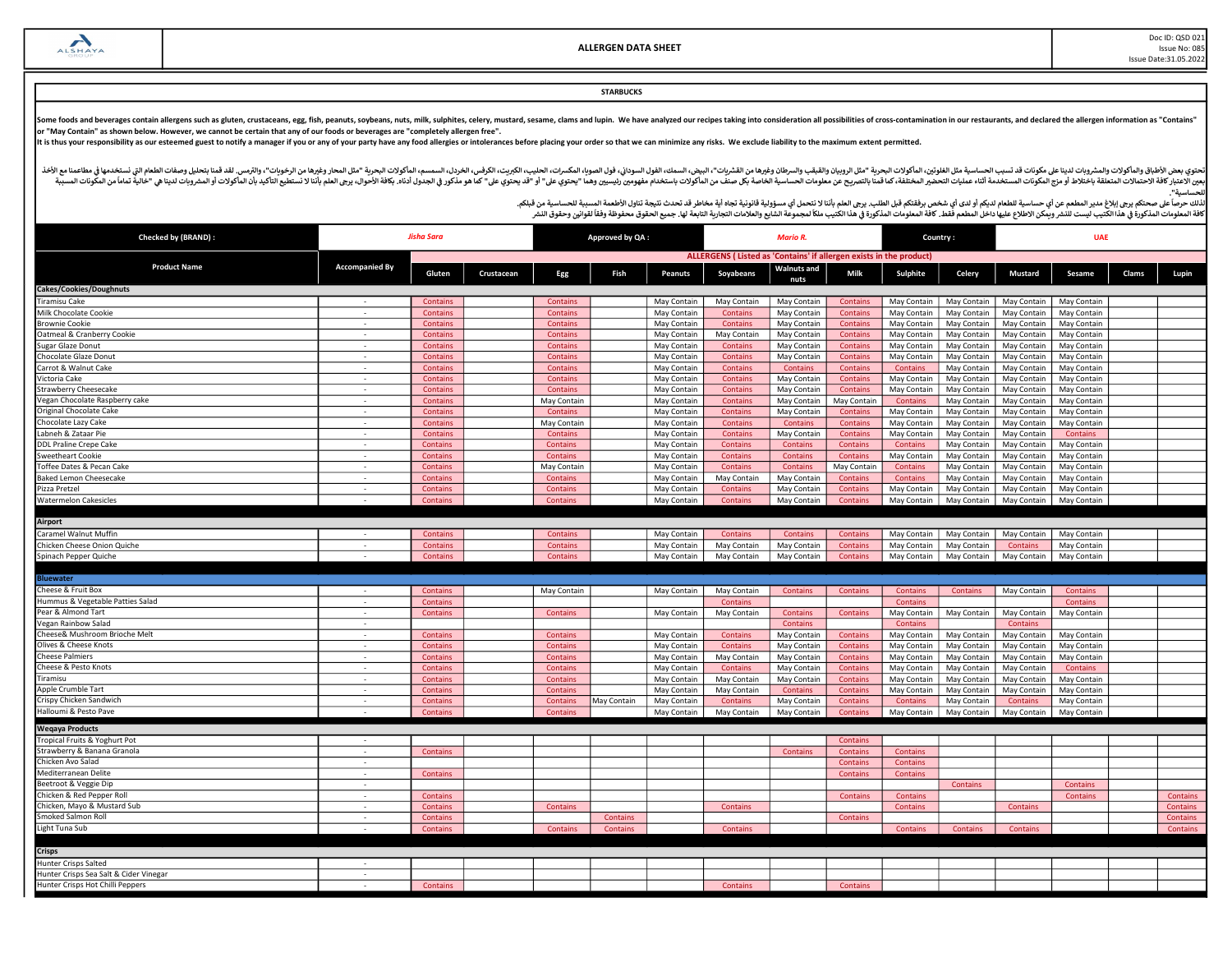Doc ID: QSD 021 Issue No: 085 Issue Date:31.05.2022

## **STARBUCKS**

Some foods and beverages contain allergens such as gluten, crustaceans, egg, fish, peanuts, soybeans, nuts, milk, sulphites, celery, mustard, sesame, clams and lupin. We have analyzed our recipes taking into consideration

It is thus your responsibility as our esteemed guest to notify a manager if you or any of your party have any food allergies or intolerances before placing your order so that we can minimize any risks. We exclude liability

أفخاله والمأكولات والمشروبات لدينا علىمكونات قد تسبب الحساسية مثل الطغورين الماكولات البودرية "مثل الروبيان والمقب والسودان وغيرها من الشروب والمعاشر ومغرها مناسب الموادا والموداء المروس الموادر الموداء المواس والمعامل الم مستر به المستر به المستر به المستخدمة التاريخية المستر المستر المستر المستر المستر المستر المستر المستر المستر المستر المستر المستر المستر المستر المستر المستر المستر المستر المستر المستر المستر المستر المستر المستر المست للحساسᘭة".

| <b>Checked by (BRAND):</b>             | Jisha Sara            |                 |            | Approved by QA: |                 |                | Mario R.                                                           |                            |                 |                 | Country:        |                 | <b>UAE</b>  |              |                 |
|----------------------------------------|-----------------------|-----------------|------------|-----------------|-----------------|----------------|--------------------------------------------------------------------|----------------------------|-----------------|-----------------|-----------------|-----------------|-------------|--------------|-----------------|
|                                        |                       |                 |            |                 |                 |                | ALLERGENS (Listed as 'Contains' if allergen exists in the product) |                            |                 |                 |                 |                 |             |              |                 |
| <b>Product Name</b>                    | <b>Accompanied By</b> | Gluten          | Crustacean | Egg             | Fish            | <b>Peanuts</b> | Soyabeans                                                          | <b>Walnuts</b> and<br>nuts | Milk            | Sulphite        | Celery          | <b>Mustard</b>  | Sesame      | <b>Clams</b> | Lupin           |
| Cakes/Cookies/Doughnuts                |                       |                 |            |                 |                 |                |                                                                    |                            |                 |                 |                 |                 |             |              |                 |
| <b>Tiramisu Cake</b>                   |                       | Contains        |            | Contains        |                 | May Contain    | May Contain                                                        | May Contain                | Contains        | May Contain     | May Contain     | May Contain     | May Contain |              |                 |
| Milk Chocolate Cookie                  |                       | Contains        |            | Contains        |                 | May Contain    | Contains                                                           | May Contain                | Contains        | May Contain     | May Contain     | May Contain     | May Contain |              |                 |
| <b>Brownie Cookie</b>                  | $\sim$                | Contains        |            | Contains        |                 | May Contain    | Contains                                                           | May Contain                | Contains        | May Contain     | May Contain     | May Contain     | May Contain |              |                 |
| Oatmeal & Cranberry Cookie             |                       | Contains        |            | Contains        |                 | May Contain    | May Contair                                                        | May Contain                | Contains        | May Contair     | May Contain     | May Contain     | May Contain |              |                 |
| Sugar Glaze Donut                      | $\sim$                | Contains        |            | Contains        |                 | May Contain    | Contains                                                           | May Contain                | Contains        | May Contain     | May Contain     | May Contain     | May Contain |              |                 |
| Chocolate Glaze Donut                  | $\sim$                | Contains        |            | Contains        |                 | May Contain    | Contains                                                           | May Contair                | Contains        | May Contair     | May Contain     | May Contain     | May Contain |              |                 |
| Carrot & Walnut Cake                   | $\sim$                | Contains        |            | <b>Contains</b> |                 | May Contain    | Contains                                                           | Contains                   | <b>Contains</b> | <b>Contains</b> | May Contain     | May Contain     | May Contain |              |                 |
| Victoria Cake                          | $\sim$                | Contains        |            | Contains        |                 | May Contain    | Contains                                                           | May Contain                | <b>Contains</b> | May Contair     | May Contain     | May Contain     | May Contain |              |                 |
| Strawberry Cheesecake                  | $\sim$                | Contains        |            | Contains        |                 | May Contain    | Contains                                                           | May Contain                | <b>Contains</b> | May Contain     | May Contain     | May Contain     | May Contain |              |                 |
| Vegan Chocolate Raspberry cake         | $\sim$                | Contains        |            | May Contain     |                 | May Contain    | Contains                                                           | May Contain                | May Contain     | Contains        | May Contain     | May Contain     | May Contain |              |                 |
| Original Chocolate Cake                | $\sim$                | Contains        |            | Contains        |                 | May Contain    | Contains                                                           | May Contain                | Contains        | May Contain     | May Contain     | May Contain     | May Contain |              |                 |
| Chocolate Lazy Cake                    | $\sim$                | Contains        |            | May Contain     |                 | May Contain    | Contains                                                           | Contains                   | <b>Contains</b> | May Contain     | May Contain     | May Contain     | May Contain |              |                 |
| Labneh & Zataar Pie                    | $\sim$                | Contains        |            | Contains        |                 | May Contain    | Contains                                                           | May Contair                | Contains        | May Contain     | May Contain     | May Contain     | Contains    |              |                 |
| <b>DDL Praline Crepe Cake</b>          | $\sim$                | Contains        |            | Contains        |                 | May Contain    | Contains                                                           | <b>Contains</b>            | Contains        | Contains        | May Contain     | May Contain     | May Contain |              |                 |
| <b>Sweetheart Cookie</b>               |                       | Contains        |            | <b>Contains</b> |                 | May Contain    | Contains                                                           | <b>Contains</b>            | Contains        | May Contair     | May Contain     | May Contain     | May Contain |              |                 |
| Toffee Dates & Pecan Cake              | $\sim$                | Contains        |            | May Contain     |                 | May Contain    | Contains                                                           | <b>Contains</b>            | May Contain     | Contains        | May Contain     | May Contain     | May Contain |              |                 |
| Baked Lemon Cheesecake                 | $\sim$                | <b>Contains</b> |            | <b>Contains</b> |                 | May Contain    | May Contain                                                        | May Contair                | Contains        | Contains        | May Contain     | May Contain     | May Contain |              |                 |
| Pizza Pretzel                          | $\sim$                | Contains        |            | Contains        |                 | May Contain    | Contains                                                           | May Contain                | Contains        | May Contair     | May Contain     | May Contain     | May Contain |              |                 |
| <b>Watermelon Cakesicles</b>           |                       | Contains        |            | Contains        |                 | May Contain    | Contains                                                           | May Contain                | Contains        | May Contair     | May Contain     | May Contain     | May Contain |              |                 |
|                                        |                       |                 |            |                 |                 |                |                                                                    |                            |                 |                 |                 |                 |             |              |                 |
| Airport                                |                       |                 |            |                 |                 |                |                                                                    |                            |                 |                 |                 |                 |             |              |                 |
| Caramel Walnut Muffin                  |                       | Contains        |            | <b>Contains</b> |                 | May Contain    | Contains                                                           | Contains                   | Contains        | May Contain     | May Contain     | May Contain     | May Contain |              |                 |
| Chicken Cheese Onion Quiche            |                       | Contains        |            | Contains        |                 | May Contain    | May Contain                                                        | May Contair                | Contains        | May Contain     | May Contain     | Contain         | May Contain |              |                 |
| Spinach Pepper Quiche                  | $\sim$                | Contains        |            | Contains        |                 | May Contain    | May Contain                                                        | May Contain                | Contains        | May Contain     | May Contain     | May Contain     | May Contain |              |                 |
|                                        |                       |                 |            |                 |                 |                |                                                                    |                            |                 |                 |                 |                 |             |              |                 |
| Bluewater                              |                       |                 |            |                 |                 |                |                                                                    |                            |                 |                 |                 |                 |             |              |                 |
| Cheese & Fruit Box                     |                       | Contains        |            | May Contain     |                 | May Contain    | May Contain                                                        | Contains                   | Contains        | Contains        | Contains        | May Contain     | Contains    |              |                 |
| Hummus & Vegetable Patties Salad       | $\sim$                | Contains        |            |                 |                 |                | Contains                                                           |                            |                 | Contains        |                 |                 | Contains    |              |                 |
| Pear & Almond Tart                     | $\sim$                | <b>Contains</b> |            | Contains        |                 | May Contain    | May Contain                                                        | <b>Contains</b>            | Contains        | May Contain     | May Contain     | May Contain     | May Contain |              |                 |
| Vegan Rainbow Salad                    | $\sim$                |                 |            |                 |                 |                |                                                                    | Contains                   |                 | Contains        |                 | Contains        |             |              |                 |
| Cheese& Mushroom Brioche Melt          |                       | Contains        |            | Contains        |                 | May Contain    | <b>Contains</b>                                                    | May Contain                | Contains        | May Contain     | May Contain     | May Contain     | May Contain |              |                 |
| Olives & Cheese Knots                  | $\sim$                | Contains        |            | Contains        |                 | May Contain    | Contains                                                           | May Contain                | Contains        | May Contain     | May Contain     | May Contain     | May Contain |              |                 |
| <b>Cheese Palmiers</b>                 |                       | Contains        |            | Contains        |                 | May Contain    | May Contain                                                        | May Contain                | Contains        | May Contain     | May Contain     | May Contain     | May Contain |              |                 |
| Cheese & Pesto Knots                   | $\sim$                | Contains        |            | Contains        |                 | May Contain    | Contains                                                           | May Contain                | Contains        | May Contain     | May Contain     | May Contain     | Contains    |              |                 |
| Tiramisu                               |                       | Contains        |            | Contains        |                 | May Contain    | May Contain                                                        | May Contain                | Contains        | May Contair     | May Contain     | May Contain     | May Contain |              |                 |
| Apple Crumble Tart                     | $\sim$                | Contains        |            | Contains        |                 | May Contain    | May Contain                                                        | <b>Contains</b>            | Contains        | May Contain     | May Contain     | May Contain     | May Contain |              |                 |
| Crispy Chicken Sandwich                | $\sim$                | Contains        |            | <b>Contains</b> | May Contain     | May Contain    | Contains                                                           | May Contair                | Contains        | Contains        | May Contain     | Contains        | May Contain |              |                 |
| Halloumi & Pesto Pave                  |                       | Contains        |            | Contains        |                 | May Contain    | May Contain                                                        | May Contain                | Contains        | May Contain     | May Contain     | May Contain     | May Contain |              |                 |
| <b>Wegaya Products</b>                 |                       |                 |            |                 |                 |                |                                                                    |                            |                 |                 |                 |                 |             |              |                 |
| Tropical Fruits & Yoghurt Pot          |                       |                 |            |                 |                 |                |                                                                    |                            | Contains        |                 |                 |                 |             |              |                 |
| Strawberry & Banana Granola            |                       | Contains        |            |                 |                 |                |                                                                    | <b>Contains</b>            | Contains        | <b>Contains</b> |                 |                 |             |              |                 |
| Chicken Avo Salad                      | $\sim$                |                 |            |                 |                 |                |                                                                    |                            | Contains        | Contains        |                 |                 |             |              |                 |
| Mediterranean Delite                   | $\sim$                | <b>Contains</b> |            |                 |                 |                |                                                                    |                            | Contains        | Contains        |                 |                 |             |              |                 |
| Beetroot & Veggie Dip                  | $\sim$                |                 |            |                 |                 |                |                                                                    |                            |                 |                 | Contains        |                 | Contains    |              |                 |
| Chicken & Red Pepper Roll              |                       | Contains        |            |                 |                 |                |                                                                    |                            | <b>Contains</b> | Contains        |                 |                 | Contains    |              | Contains        |
| Chicken, Mayo & Mustard Sub            | $\sim$                | Contains        |            | Contains        |                 |                | Contains                                                           |                            |                 | Contains        |                 | Contains        |             |              | Contains        |
| Smoked Salmon Roll                     |                       | Contains        |            |                 | <b>Contains</b> |                |                                                                    |                            | Contains        |                 |                 |                 |             |              | Contains        |
| Light Tuna Sub                         |                       | Contains        |            | Contains        | <b>Contains</b> |                | Contains                                                           |                            |                 | <b>Contains</b> | <b>Contains</b> | <b>Contains</b> |             |              | <b>Contains</b> |
| <b>Crisps</b>                          |                       |                 |            |                 |                 |                |                                                                    |                            |                 |                 |                 |                 |             |              |                 |
| Hunter Crisps Salted                   |                       |                 |            |                 |                 |                |                                                                    |                            |                 |                 |                 |                 |             |              |                 |
| Hunter Crisps Sea Salt & Cider Vinegar |                       |                 |            |                 |                 |                |                                                                    |                            |                 |                 |                 |                 |             |              |                 |
| Hunter Crisps Hot Chilli Peppers       |                       | Contains        |            |                 |                 |                | Contains                                                           |                            | Contains        |                 |                 |                 |             |              |                 |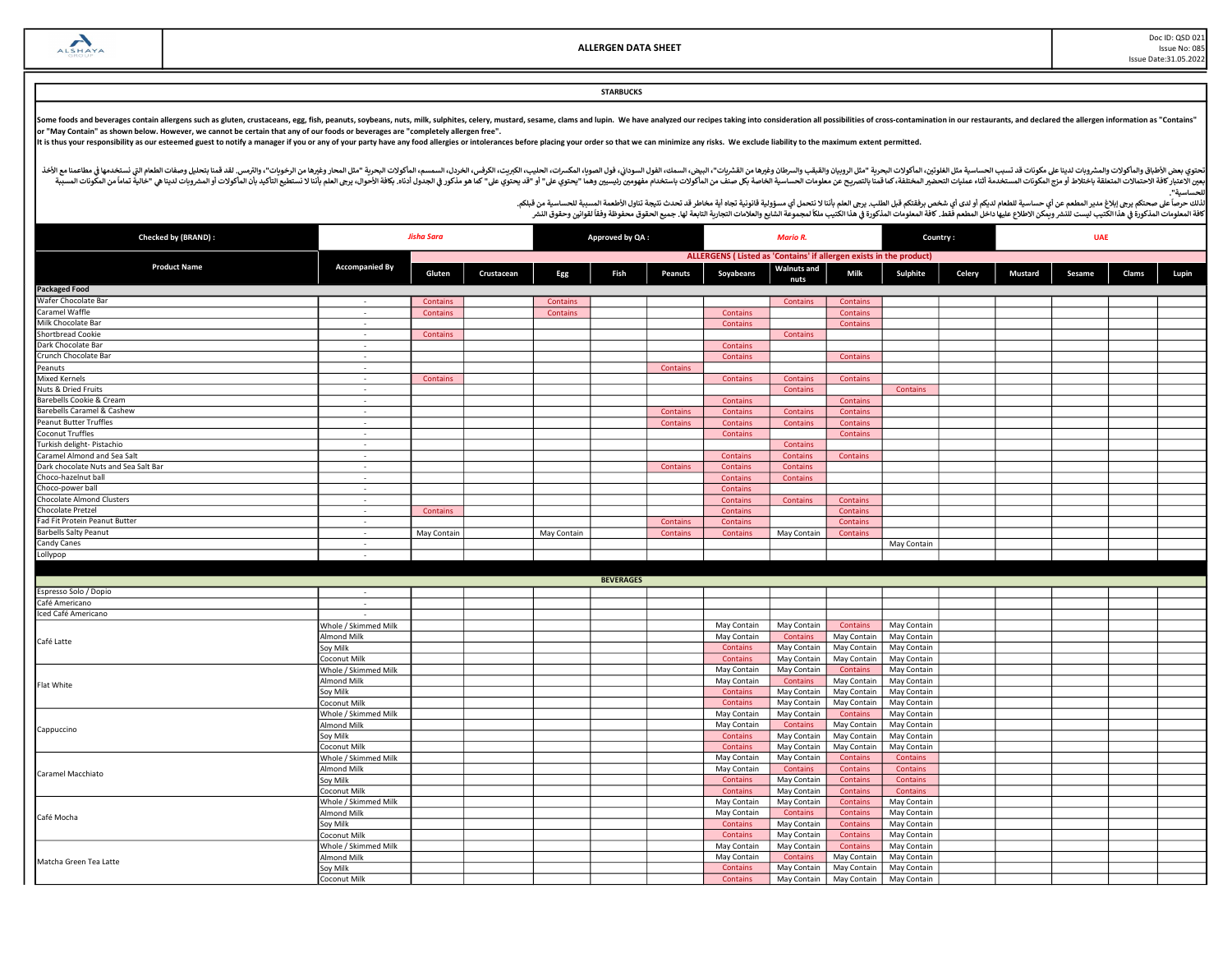Doc ID: QSD 021 Issue No: 085 Issue Date:31.05.2022

# **STARBUCKS**

Some foods and beverages contain allergens such as gluten, crustaceans, egg, fish, peanuts, soybeans, nuts, milk, sulphites, celery, mustard, sesame, clams and lupin. We have analyzed our recipes taking into consideration

It is thus your responsibility as our esteemed guest to notify a manager if you or any of your party have any food allergies or intolerances before placing your order so that we can minimize any risks. We exclude liability

أفخاله والمأكولات والمشروبات لدينا علىمكونات قد تسبب الحساسية مثل الطغورين الماكولات البودرية "مثل الروبيان والمقب والسودان وغيرها من الشروب والمعاشر ومغرها مناسب الموادا والموداء المروس الموادر الموداء المواس والمعامل الم مستر به المستر به المستر به المستخدمة التاريخية المستر المستر المستر المستر المستر المستر المستر المستر المستر المستر المستر المستر المستر المستر المستر المستر المستر المستر المستر المستر المستر المستر المستر المستر المست للحساسᘭة".

| Checked by (BRAND) :                 | <b>Jisha Sara</b>     |             |            | Approved by QA: |                  |                 | <b>Mario R.</b>                                                    |                            |                 | Country:        |        |         | <b>UAE</b> |       |       |
|--------------------------------------|-----------------------|-------------|------------|-----------------|------------------|-----------------|--------------------------------------------------------------------|----------------------------|-----------------|-----------------|--------|---------|------------|-------|-------|
|                                      |                       |             |            |                 |                  |                 | ALLERGENS (Listed as 'Contains' if allergen exists in the product) |                            |                 |                 |        |         |            |       |       |
| <b>Product Name</b>                  | <b>Accompanied By</b> | Gluten      | Crustacean | Egg             | Fish             | <b>Peanuts</b>  | Soyabeans                                                          | <b>Walnuts and</b><br>nuts | Milk            | Sulphite        | Celery | Mustard | Sesame     | Clams | Lupin |
| <b>Packaged Food</b>                 |                       |             |            |                 |                  |                 |                                                                    |                            |                 |                 |        |         |            |       |       |
| Wafer Chocolate Bar                  | $\sim$                | Contains    |            | Contains        |                  |                 |                                                                    | Contains                   | <b>Contains</b> |                 |        |         |            |       |       |
| Caramel Waffle                       | $\sim$                | Contains    |            | Contains        |                  |                 | Contains                                                           |                            | Contains        |                 |        |         |            |       |       |
| Milk Chocolate Bar                   | $\sim$                |             |            |                 |                  |                 | Contains                                                           |                            | Contains        |                 |        |         |            |       |       |
| Shortbread Cookie                    | ÷.                    | Contains    |            |                 |                  |                 |                                                                    | Contains                   |                 |                 |        |         |            |       |       |
| Dark Chocolate Bar                   | $\sim$                |             |            |                 |                  |                 | Contains                                                           |                            |                 |                 |        |         |            |       |       |
| Crunch Chocolate Bar                 | $\sim$                |             |            |                 |                  |                 | Contains                                                           |                            | <b>Contains</b> |                 |        |         |            |       |       |
| Peanuts                              | $\sim$                |             |            |                 |                  | Contains        |                                                                    |                            |                 |                 |        |         |            |       |       |
| <b>Mixed Kernels</b>                 | $\sim$                | Contains    |            |                 |                  |                 | <b>Contains</b>                                                    | Contains                   | Contains        |                 |        |         |            |       |       |
| Nuts & Dried Fruits                  | $\sim$                |             |            |                 |                  |                 |                                                                    | Contains                   |                 | Contains        |        |         |            |       |       |
| Barebells Cookie & Cream             | $\sim$                |             |            |                 |                  |                 | Contains                                                           |                            | <b>Contains</b> |                 |        |         |            |       |       |
| Barebells Caramel & Cashew           | $\sim$                |             |            |                 |                  | Contains        | Contains                                                           | Contains                   | Contains        |                 |        |         |            |       |       |
| Peanut Butter Truffles               | ÷                     |             |            |                 |                  | Contains        | Contains                                                           | Contains                   | <b>Contains</b> |                 |        |         |            |       |       |
| Coconut Truffles                     | $\sim$                |             |            |                 |                  |                 | Contains                                                           |                            | Contains        |                 |        |         |            |       |       |
| Turkish delight- Pistachio           | $\sim$                |             |            |                 |                  |                 |                                                                    | Contains                   |                 |                 |        |         |            |       |       |
| Caramel Almond and Sea Salt          | $\sim$                |             |            |                 |                  |                 | Contains                                                           | <b>Contains</b>            | Contains        |                 |        |         |            |       |       |
| Dark chocolate Nuts and Sea Salt Bar | $\sim$                |             |            |                 |                  | <b>Contains</b> | Contains                                                           | <b>Contains</b>            |                 |                 |        |         |            |       |       |
| Choco-hazelnut ball                  | $\sim$                |             |            |                 |                  |                 | Contains                                                           | Contains                   |                 |                 |        |         |            |       |       |
| Choco-power ball                     | $\sim$                |             |            |                 |                  |                 | Contains                                                           |                            |                 |                 |        |         |            |       |       |
| Chocolate Almond Clusters            | $\sim$                |             |            |                 |                  |                 | Contains                                                           | <b>Contains</b>            | Contains        |                 |        |         |            |       |       |
| Chocolate Pretzel                    | ÷                     | Contains    |            |                 |                  |                 | Contains                                                           |                            | <b>Contains</b> |                 |        |         |            |       |       |
| Fad Fit Protein Peanut Butter        | $\sim$                |             |            |                 |                  | <b>Contains</b> | Contains                                                           |                            | Contains        |                 |        |         |            |       |       |
| <b>Barbells Salty Peanut</b>         | $\sim$                | May Contain |            | May Contain     |                  | Contains        | Contains                                                           | May Contain                | Contains        |                 |        |         |            |       |       |
| Candy Canes                          | $\sim$                |             |            |                 |                  |                 |                                                                    |                            |                 | May Contain     |        |         |            |       |       |
| Lollypop                             |                       |             |            |                 |                  |                 |                                                                    |                            |                 |                 |        |         |            |       |       |
|                                      |                       |             |            |                 |                  |                 |                                                                    |                            |                 |                 |        |         |            |       |       |
|                                      |                       |             |            |                 | <b>BEVERAGES</b> |                 |                                                                    |                            |                 |                 |        |         |            |       |       |
| Espresso Solo / Dopio                | $\sim$                |             |            |                 |                  |                 |                                                                    |                            |                 |                 |        |         |            |       |       |
| Café Americano                       | $\sim$                |             |            |                 |                  |                 |                                                                    |                            |                 |                 |        |         |            |       |       |
| Iced Café Americano                  | $\sim$                |             |            |                 |                  |                 |                                                                    |                            |                 |                 |        |         |            |       |       |
|                                      | Whole / Skimmed Milk  |             |            |                 |                  |                 | May Contain                                                        | May Contain                | Contains        | May Contain     |        |         |            |       |       |
|                                      | Almond Milk           |             |            |                 |                  |                 | May Contain                                                        | Contains                   | May Contain     | May Contain     |        |         |            |       |       |
| Café Latte                           | Soy Milk              |             |            |                 |                  |                 | Contains                                                           | May Contain                | May Contain     | May Contain     |        |         |            |       |       |
|                                      | Coconut Milk          |             |            |                 |                  |                 | Contains                                                           | May Contain                | May Contain     | May Contain     |        |         |            |       |       |
|                                      | Whole / Skimmed Milk  |             |            |                 |                  |                 | May Contain                                                        | May Contain                | <b>Contains</b> | May Contain     |        |         |            |       |       |
|                                      | Almond Milk           |             |            |                 |                  |                 | May Contain                                                        | Contains                   | May Contain     | May Contain     |        |         |            |       |       |
| Flat White                           | Soy Milk              |             |            |                 |                  |                 | Contains                                                           | May Contain                | May Contain     | May Contain     |        |         |            |       |       |
|                                      | Coconut Milk          |             |            |                 |                  |                 | Contains                                                           | May Contain                | May Contain     | May Contain     |        |         |            |       |       |
|                                      | Whole / Skimmed Milk  |             |            |                 |                  |                 | May Contain                                                        | May Contain                | <b>Contains</b> | May Contain     |        |         |            |       |       |
|                                      | Almond Milk           |             |            |                 |                  |                 | May Contain                                                        | Contains                   | May Contain     | May Contain     |        |         |            |       |       |
| Cappuccino                           | Soy Milk              |             |            |                 |                  |                 | Contains                                                           | May Contain                | May Contain     | May Contain     |        |         |            |       |       |
|                                      | Coconut Milk          |             |            |                 |                  |                 | Contains                                                           | May Contain                | May Contain     | May Contain     |        |         |            |       |       |
|                                      | Whole / Skimmed Milk  |             |            |                 |                  |                 | May Contain                                                        | May Contain                | <b>Contains</b> | <b>Contains</b> |        |         |            |       |       |
|                                      | Almond Milk           |             |            |                 |                  |                 | May Contain                                                        | Contains                   | <b>Contains</b> | Contains        |        |         |            |       |       |
| Caramel Macchiato                    | Soy Milk              |             |            |                 |                  |                 | Contains                                                           | May Contain                | <b>Contains</b> | Contains        |        |         |            |       |       |
|                                      | Coconut Milk          |             |            |                 |                  |                 | Contains                                                           | May Contain                | <b>Contains</b> | Contains        |        |         |            |       |       |
|                                      | Whole / Skimmed Milk  |             |            |                 |                  |                 | May Contain                                                        | May Contain                | Contains        | May Contain     |        |         |            |       |       |
|                                      | Almond Milk           |             |            |                 |                  |                 | May Contain                                                        | Contains                   | <b>Contains</b> | May Contain     |        |         |            |       |       |
| Café Mocha                           | Soy Milk              |             |            |                 |                  |                 | Contains                                                           | May Contain                | <b>Contains</b> | May Contain     |        |         |            |       |       |
|                                      | Coconut Milk          |             |            |                 |                  |                 | Contains                                                           | May Contain                | <b>Contains</b> | May Contain     |        |         |            |       |       |
|                                      | Whole / Skimmed Milk  |             |            |                 |                  |                 | May Contain                                                        | May Contain                | <b>Contains</b> | May Contain     |        |         |            |       |       |
|                                      | Almond Milk           |             |            |                 |                  |                 | May Contain                                                        | Contains                   | May Contain     | May Contain     |        |         |            |       |       |
| Matcha Green Tea Latte               | Soy Milk              |             |            |                 |                  |                 | Contains                                                           | May Contain                | May Contain     | May Contain     |        |         |            |       |       |
|                                      | Coconut Milk          |             |            |                 |                  |                 | Contains                                                           | May Contain                | May Contain     | May Contain     |        |         |            |       |       |
|                                      |                       |             |            |                 |                  |                 |                                                                    |                            |                 |                 |        |         |            |       |       |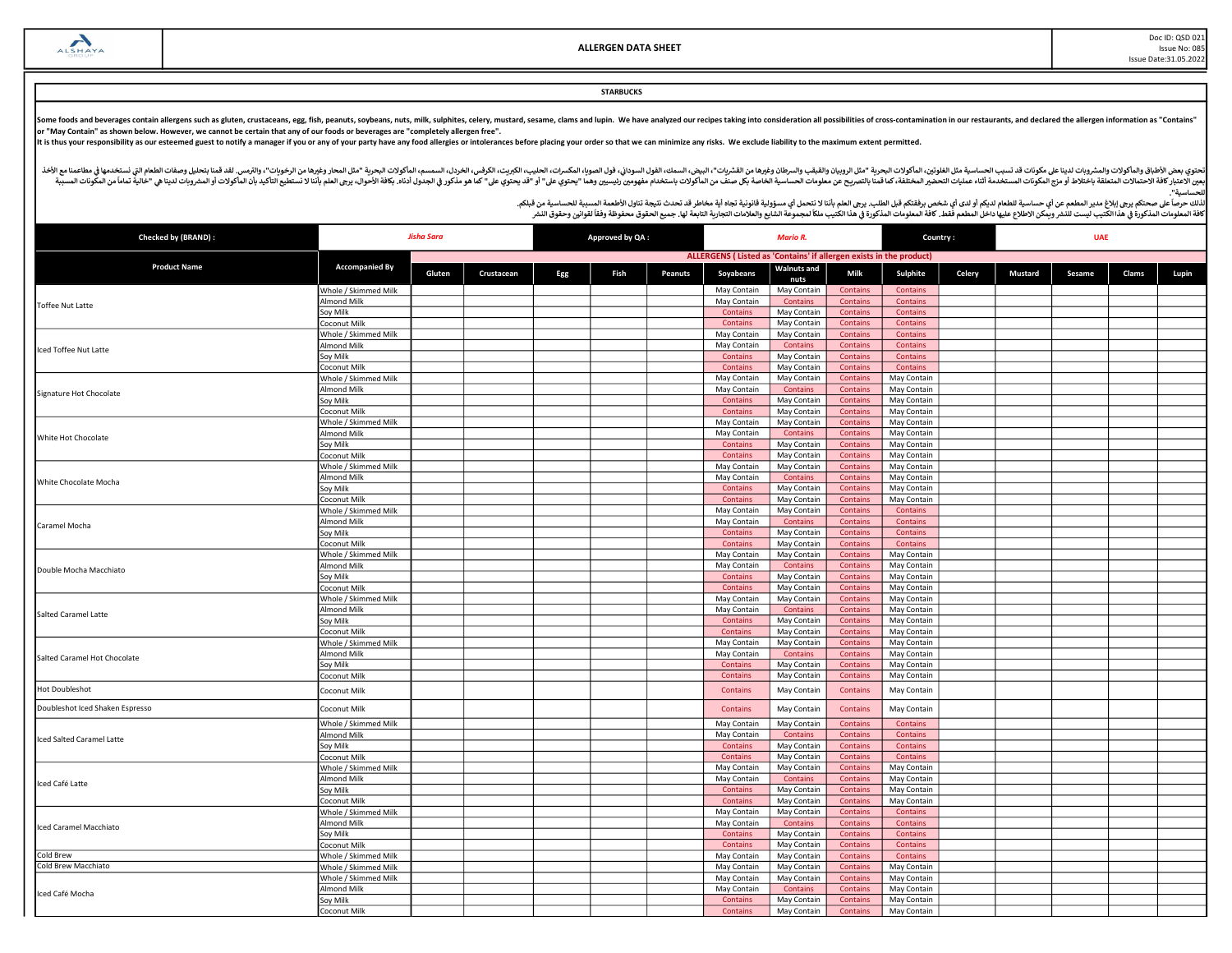#### **STARBUCKS**

Some foods and beverages contain allergens such as gluten, crustaceans, egg, fish, peanuts, soybeans, nuts, milk, sulphites, celery, mustard, sesame, clams and lupin. We have analyzed our recipes taking into consideration

It is thus your responsibility as our esteemed guest to notify a manager if you or any of your party have any food allergies or intolerances before placing your order so that we can minimize any risks. We exclude liability

أفخاله والمأكولات والمشروبات لدينا علىمكونات قد تسبب الحساسية مثل الطغورين الماكولات البودرية "مثل الروبيان والمقب والسودان وغيرها من الشروب والمعاشر ومغرها مناسب الموادا والموداء المروس الموادر الموداء المواس والمعامل الم مستر به المستر به المستر به المستخدمة التاريخية المستر المستر المستر المستر المستر المستر المستر المستر المستر المستر المستر المستر المستر المستر المستر المستر المستر المستر المستر المستر المستر المستر المستر المستر المست للحساسᘭة".

| <b>Checked by (BRAND):</b>      | <b>Jisha Sara</b>                   |        |            |     | Approved by QA: |                |                                                                    | <b>Mario R.</b>         |                             |                      | Country: | <b>UAE</b>     |        |       |       |  |
|---------------------------------|-------------------------------------|--------|------------|-----|-----------------|----------------|--------------------------------------------------------------------|-------------------------|-----------------------------|----------------------|----------|----------------|--------|-------|-------|--|
|                                 |                                     |        |            |     |                 |                | ALLERGENS (Listed as 'Contains' if allergen exists in the product) |                         |                             |                      |          |                |        |       |       |  |
| <b>Product Name</b>             | <b>Accompanied By</b>               | Gluten | Crustacean | Egg | Fish            | <b>Peanuts</b> | Soyabeans                                                          | <b>Walnuts and</b>      | Milk                        | Sulphite             | Celery   | <b>Mustard</b> | Sesame | Clams | Lupin |  |
|                                 |                                     |        |            |     |                 |                |                                                                    | nuts                    |                             |                      |          |                |        |       |       |  |
|                                 | Whole / Skimmed Milk                |        |            |     |                 |                | May Contain                                                        | May Contain             | Contains                    | Contains             |          |                |        |       |       |  |
| <b>Toffee Nut Latte</b>         | Almond Milk                         |        |            |     |                 |                | May Contain                                                        | Contains                | Contains                    | Contains             |          |                |        |       |       |  |
|                                 | Soy Milk                            |        |            |     |                 |                | Contains                                                           | May Contain             | Contains                    | Contains             |          |                |        |       |       |  |
|                                 | oconut Milk<br>Whole / Skimmed Milk |        |            |     |                 |                | <b>Contains</b>                                                    | May Contain             | <b>Contains</b>             | <b>Contains</b>      |          |                |        |       |       |  |
|                                 | Almond Milk                         |        |            |     |                 |                | May Contain<br>May Contain                                         | May Contain<br>Contains | <b>Contains</b><br>Contains | Contains<br>Contains |          |                |        |       |       |  |
| Iced Toffee Nut Latte           | Soy Milk                            |        |            |     |                 |                | <b>Contains</b>                                                    | May Contain             | <b>Contains</b>             | Contains             |          |                |        |       |       |  |
|                                 | Coconut Milk                        |        |            |     |                 |                | Contains                                                           | May Contain             | Contains                    | Contains             |          |                |        |       |       |  |
|                                 | Whole / Skimmed Milk                |        |            |     |                 |                | May Contain                                                        | May Contain             | <b>Contains</b>             | May Contain          |          |                |        |       |       |  |
|                                 | Almond Milk                         |        |            |     |                 |                | May Contain                                                        | Contains                | Contains                    | May Contain          |          |                |        |       |       |  |
| Signature Hot Chocolate         | Soy Milk                            |        |            |     |                 |                | Contains                                                           | May Contain             | Contains                    | May Contain          |          |                |        |       |       |  |
|                                 | Coconut Milk                        |        |            |     |                 |                | <b>Contains</b>                                                    | May Contain             | <b>Contains</b>             | May Contain          |          |                |        |       |       |  |
|                                 | Whole / Skimmed Milk                |        |            |     |                 |                | May Contain                                                        | May Contain             | <b>Contains</b>             | May Contain          |          |                |        |       |       |  |
|                                 | <b>Almond Milk</b>                  |        |            |     |                 |                | May Contain                                                        | Contains                | <b>Contains</b>             | May Contain          |          |                |        |       |       |  |
| White Hot Chocolate             | Soy Milk                            |        |            |     |                 |                | <b>Contains</b>                                                    | May Contain             | <b>Contains</b>             | May Contain          |          |                |        |       |       |  |
|                                 | Coconut Milk                        |        |            |     |                 |                | <b>Contains</b>                                                    | May Contain             | Contains                    | May Contain          |          |                |        |       |       |  |
|                                 | Whole / Skimmed Milk                |        |            |     |                 |                | May Contain                                                        | May Contain             | Contains                    | May Contain          |          |                |        |       |       |  |
|                                 | Almond Milk                         |        |            |     |                 |                | May Contain                                                        | Contains                | <b>Contains</b>             | May Contain          |          |                |        |       |       |  |
| White Chocolate Mocha           | Soy Milk                            |        |            |     |                 |                | Contains                                                           | May Contair             | Contains                    | May Contain          |          |                |        |       |       |  |
|                                 | Coconut Milk                        |        |            |     |                 |                | <b>Contains</b>                                                    | May Contain             | <b>Contains</b>             | May Contain          |          |                |        |       |       |  |
|                                 | Whole / Skimmed Milk                |        |            |     |                 |                | May Contain                                                        | May Contain             | Contains                    | Contains             |          |                |        |       |       |  |
|                                 | Almond Milk                         |        |            |     |                 |                | May Contain                                                        | Contains                | <b>Contains</b>             | Contains             |          |                |        |       |       |  |
| Caramel Mocha                   | Soy Milk                            |        |            |     |                 |                | <b>Contains</b>                                                    | May Contain             | Contains                    | Contains             |          |                |        |       |       |  |
|                                 | Coconut Milk                        |        |            |     |                 |                | Contains                                                           | May Contain             | Contains                    | Contains             |          |                |        |       |       |  |
|                                 | Whole / Skimmed Milk                |        |            |     |                 |                | May Contain                                                        | May Contain             | <b>Contains</b>             | May Contain          |          |                |        |       |       |  |
| Double Mocha Macchiato          | Almond Milk                         |        |            |     |                 |                | May Contain                                                        | Contains                | Contains                    | May Contain          |          |                |        |       |       |  |
|                                 | ioy Milk                            |        |            |     |                 |                | <b>Contains</b>                                                    | May Contain             | Contains                    | May Contain          |          |                |        |       |       |  |
|                                 | Coconut Milk                        |        |            |     |                 |                | Contains                                                           | May Contain             | Contains                    | May Contain          |          |                |        |       |       |  |
|                                 | Whole / Skimmed Milk                |        |            |     |                 |                | May Contain                                                        | May Contain             | Contains                    | May Contain          |          |                |        |       |       |  |
|                                 | Almond Milk                         |        |            |     |                 |                | May Contain                                                        | Contains                | Contains                    | May Contain          |          |                |        |       |       |  |
| Salted Caramel Latte            | Soy Milk                            |        |            |     |                 |                | Contains                                                           | May Contain             | <b>Contains</b>             | May Contain          |          |                |        |       |       |  |
|                                 | oconut Milk                         |        |            |     |                 |                | Contains                                                           | May Contair             | Contains                    | May Contain          |          |                |        |       |       |  |
|                                 | Whole / Skimmed Milk                |        |            |     |                 |                | May Contain                                                        | May Contain             | <b>Contains</b>             | May Contain          |          |                |        |       |       |  |
| Salted Caramel Hot Chocolate    | Almond Milk                         |        |            |     |                 |                | May Contain                                                        | Contains                | Contains                    | May Contain          |          |                |        |       |       |  |
|                                 | Soy Milk                            |        |            |     |                 |                | Contains                                                           | May Contain             | Contains                    | May Contain          |          |                |        |       |       |  |
|                                 | Coconut Milk                        |        |            |     |                 |                | <b>Contains</b>                                                    | May Contain             | <b>Contains</b>             | May Contain          |          |                |        |       |       |  |
| Hot Doubleshot                  | Coconut Milk                        |        |            |     |                 |                | <b>Contains</b>                                                    | May Contain             | <b>Contains</b>             | May Contain          |          |                |        |       |       |  |
|                                 |                                     |        |            |     |                 |                |                                                                    |                         |                             |                      |          |                |        |       |       |  |
| Doubleshot Iced Shaken Espresso | Coconut Milk                        |        |            |     |                 |                | Contains                                                           | May Contain             | Contains                    | May Contain          |          |                |        |       |       |  |
|                                 | Whole / Skimmed Milk                |        |            |     |                 |                | May Contain                                                        | May Contain             | Contains                    | Contains             |          |                |        |       |       |  |
|                                 | Almond Milk                         |        |            |     |                 |                | May Contain                                                        | Contains                | Contains                    | Contains             |          |                |        |       |       |  |
| Iced Salted Caramel Latte       | Soy Milk                            |        |            |     |                 |                | <b>Contains</b>                                                    | May Contain             | Contains                    | Contains             |          |                |        |       |       |  |
|                                 | oconut Milk                         |        |            |     |                 |                | Contains                                                           | May Contain             | Contains                    | Contains             |          |                |        |       |       |  |
|                                 | Whole / Skimmed Milk                |        |            |     |                 |                | May Contain                                                        | May Contain             | <b>Contains</b>             | May Contain          |          |                |        |       |       |  |
|                                 | Almond Milk                         |        |            |     |                 |                | May Contain                                                        | Contains                | <b>Contains</b>             | May Contain          |          |                |        |       |       |  |
| Iced Café Latte                 | Soy Milk                            |        |            |     |                 |                | <b>Contains</b>                                                    | May Contain             | Contains                    | May Contain          |          |                |        |       |       |  |
|                                 | Coconut Milk                        |        |            |     |                 |                | Contains                                                           | May Contain             | <b>Contains</b>             | May Contain          |          |                |        |       |       |  |
|                                 | Whole / Skimmed Milk                |        |            |     |                 |                | May Contain                                                        | May Contain             | Contains                    | Contains             |          |                |        |       |       |  |
|                                 | Almond Milk                         |        |            |     |                 |                | May Contain                                                        | Contains                | <b>Contains</b>             | Contains             |          |                |        |       |       |  |
| Iced Caramel Macchiato          | Soy Milk                            |        |            |     |                 |                | Contains                                                           | May Contain             | <b>Contains</b>             | Contains             |          |                |        |       |       |  |
|                                 | Coconut Milk                        |        |            |     |                 |                | <b>Contains</b>                                                    | May Contain             | <b>Contains</b>             | Contains             |          |                |        |       |       |  |
| Cold Brew                       | Whole / Skimmed Milk                |        |            |     |                 |                | May Contain                                                        | May Contain             | <b>Contains</b>             | Contains             |          |                |        |       |       |  |
| Cold Brew Macchiato             | Whole / Skimmed Milk                |        |            |     |                 |                | May Contain                                                        | May Contain             | <b>Contains</b>             | May Contain          |          |                |        |       |       |  |
|                                 | Whole / Skimmed Milk                |        |            |     |                 |                | May Contain                                                        | May Contain             | Contains                    | May Contain          |          |                |        |       |       |  |
|                                 | Almond Milk                         |        |            |     |                 |                | May Contain                                                        | Contains                | Contains                    | May Contain          |          |                |        |       |       |  |
| Iced Café Mocha                 | Soy Milk                            |        |            |     |                 |                | <b>Contains</b>                                                    | May Contain             | Contains                    | May Contain          |          |                |        |       |       |  |
|                                 | Coconut Milk                        |        |            |     |                 |                | Contains                                                           | May Contain             | Contains                    | May Contain          |          |                |        |       |       |  |
|                                 |                                     |        |            |     |                 |                |                                                                    |                         |                             |                      |          |                |        |       |       |  |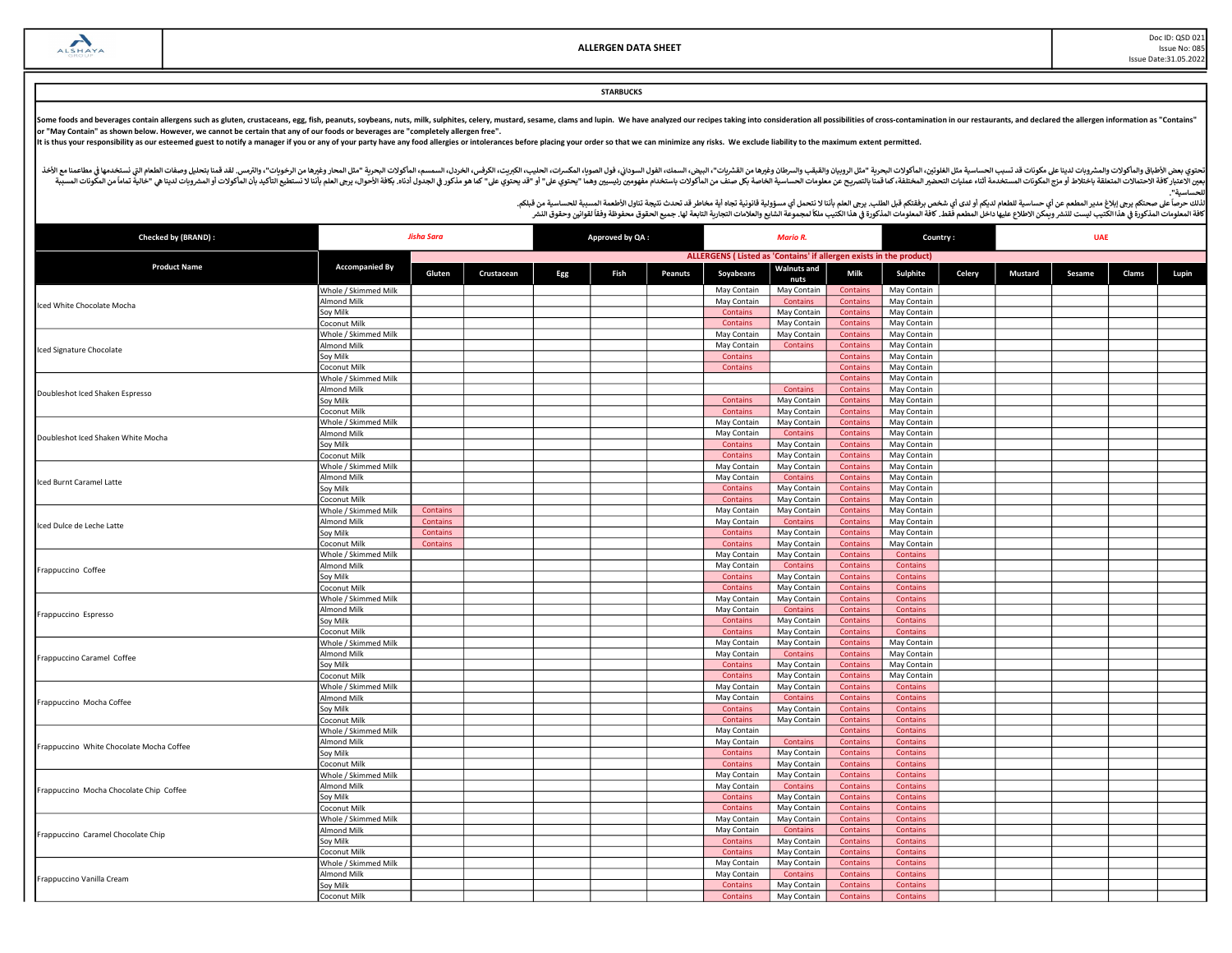Doc ID: QSD 021 Issue No: 085 Issue Date:31.05.2022

## **STARBUCKS**

Some foods and beverages contain allergens such as gluten, crustaceans, egg, fish, peanuts, soybeans, nuts, milk, sulphites, celery, mustard, sesame, clams and lupin. We have analyzed our recipes taking into consideration

It is thus your responsibility as our esteemed guest to notify a manager if you or any of your party have any food allergies or intolerances before placing your order so that we can minimize any risks. We exclude liability

أفخاله والمأكولات والمشروبات لدينا علىمكونات قد تسبب الحساسية مثل الطغورين الماكولات البودرية "مثل الروبيان والمقب والسودان وغيرها من الشروب والمعاشر ومغرها مناسب الموادا والموداء المروس الموادر الموداء المواس والمعامل الم مستر به المستر به المستر به المستخدمة التاريخية المستر المستر المستر المستر المستر المستر المستر المستر المستر المستر المستر المستر المستر المستر المستر المستر المستر المستر المستر المستر المستر المستر المستر المستر المست للحساسᘭة".

| Checked by (BRAND) :                                                                                                                                                                                                                                                                                                                         | Jisha Sara                           |          |            | Approved by QA:<br><b>Mario R.</b> |      |         |                                                                    |                            | <b>UAE</b><br>Country:             |                             |        |                |        |       |       |
|----------------------------------------------------------------------------------------------------------------------------------------------------------------------------------------------------------------------------------------------------------------------------------------------------------------------------------------------|--------------------------------------|----------|------------|------------------------------------|------|---------|--------------------------------------------------------------------|----------------------------|------------------------------------|-----------------------------|--------|----------------|--------|-------|-------|
|                                                                                                                                                                                                                                                                                                                                              |                                      |          |            |                                    |      |         | ALLERGENS (Listed as 'Contains' if allergen exists in the product) |                            |                                    |                             |        |                |        |       |       |
| <b>Product Name</b>                                                                                                                                                                                                                                                                                                                          | <b>Accompanied By</b>                | Gluten   | Crustacean | Egg                                | Fish | Peanuts | Soyabeans                                                          | <b>Walnuts and</b><br>nuts | Milk                               | Sulphite                    | Celery | <b>Mustard</b> | Sesame | Clams | Lupin |
|                                                                                                                                                                                                                                                                                                                                              | Whole / Skimmed Milk                 |          |            |                                    |      |         | May Contain                                                        | May Contain                | <b>Contains</b>                    | May Contain                 |        |                |        |       |       |
|                                                                                                                                                                                                                                                                                                                                              | <b>Almond Milk</b>                   |          |            |                                    |      |         | May Contain                                                        | Contains                   | Contains                           | May Contain                 |        |                |        |       |       |
| Iced White Chocolate Mocha<br>Iced Signature Chocolate<br>Doubleshot Iced Shaken Espresso<br>Doubleshot Iced Shaken White Mocha<br>Iced Burnt Caramel Latte<br>Iced Dulce de Leche Latte<br>Frappuccino Coffee<br>Frappuccino Espresso<br>Frappuccino Caramel Coffee<br>Frappuccino Mocha Coffee<br>Frappuccino White Chocolate Mocha Coffee | Soy Milk                             |          |            |                                    |      |         | <b>Contains</b>                                                    | May Contain                | <b>Contains</b>                    | May Contain                 |        |                |        |       |       |
|                                                                                                                                                                                                                                                                                                                                              | Coconut Milk                         |          |            |                                    |      |         | Contains                                                           | May Contain                | <b>Contains</b>                    | May Contain                 |        |                |        |       |       |
|                                                                                                                                                                                                                                                                                                                                              | Whole / Skimmed Milk                 |          |            |                                    |      |         | May Contain                                                        | May Contain                | <b>Contains</b>                    | May Contain                 |        |                |        |       |       |
|                                                                                                                                                                                                                                                                                                                                              | <b>Almond Milk</b>                   |          |            |                                    |      |         | May Contain                                                        | Contains                   | Contains                           | May Contain                 |        |                |        |       |       |
|                                                                                                                                                                                                                                                                                                                                              | Soy Milk                             |          |            |                                    |      |         | Contains                                                           |                            | Contains                           | May Contain                 |        |                |        |       |       |
|                                                                                                                                                                                                                                                                                                                                              | Coconut Milk                         |          |            |                                    |      |         | <b>Contains</b>                                                    |                            | <b>Contains</b>                    | May Contain                 |        |                |        |       |       |
|                                                                                                                                                                                                                                                                                                                                              | Whole / Skimmed Milk                 |          |            |                                    |      |         |                                                                    |                            | Contains                           | May Contain                 |        |                |        |       |       |
|                                                                                                                                                                                                                                                                                                                                              | Almond Milk                          |          |            |                                    |      |         |                                                                    | Contains                   | <b>Contains</b>                    | May Contain                 |        |                |        |       |       |
|                                                                                                                                                                                                                                                                                                                                              | Soy Milk                             |          |            |                                    |      |         | <b>Contains</b>                                                    | May Contain                | <b>Contains</b>                    | May Contain                 |        |                |        |       |       |
|                                                                                                                                                                                                                                                                                                                                              | Coconut Milk                         |          |            |                                    |      |         | Contains                                                           | May Contain                | <b>Contains</b>                    | May Contain                 |        |                |        |       |       |
|                                                                                                                                                                                                                                                                                                                                              | Whole / Skimmed Milk                 |          |            |                                    |      |         | May Contain                                                        | May Contain                | <b>Contains</b>                    | May Contain                 |        |                |        |       |       |
|                                                                                                                                                                                                                                                                                                                                              | Almond Milk                          |          |            |                                    |      |         | May Contain                                                        | Contains                   | <b>Contains</b>                    | May Contain                 |        |                |        |       |       |
|                                                                                                                                                                                                                                                                                                                                              | Soy Milk                             |          |            |                                    |      |         | Contains                                                           | May Contain                | Contains                           | May Contain                 |        |                |        |       |       |
|                                                                                                                                                                                                                                                                                                                                              | Coconut Milk                         |          |            |                                    |      |         | Contains                                                           | May Contain                | Contains                           | May Contain                 |        |                |        |       |       |
|                                                                                                                                                                                                                                                                                                                                              | Whole / Skimmed Milk                 |          |            |                                    |      |         | May Contain                                                        | May Contain                | <b>Contains</b>                    | May Contain                 |        |                |        |       |       |
|                                                                                                                                                                                                                                                                                                                                              | Almond Milk                          |          |            |                                    |      |         | May Contain                                                        | <b>Contains</b>            | <b>Contains</b>                    | May Contain                 |        |                |        |       |       |
|                                                                                                                                                                                                                                                                                                                                              | oy Milk                              |          |            |                                    |      |         | Contains                                                           | May Contain                | Contains                           | May Contain                 |        |                |        |       |       |
|                                                                                                                                                                                                                                                                                                                                              | Coconut Milk                         |          |            |                                    |      |         | Contains                                                           | May Contain                | Contains                           | May Contain                 |        |                |        |       |       |
|                                                                                                                                                                                                                                                                                                                                              | Whole / Skimmed Milk                 | Contains |            |                                    |      |         | May Contain                                                        | May Contain                | <b>Contains</b>                    | May Contain                 |        |                |        |       |       |
|                                                                                                                                                                                                                                                                                                                                              | Almond Milk                          | Contains |            |                                    |      |         | May Contain                                                        | Contains                   | Contains                           | May Contain                 |        |                |        |       |       |
|                                                                                                                                                                                                                                                                                                                                              | Soy Milk                             | Contains |            |                                    |      |         | <b>Contains</b>                                                    | May Contain                | <b>Contains</b>                    | May Contain                 |        |                |        |       |       |
|                                                                                                                                                                                                                                                                                                                                              | Coconut Milk                         | Contains |            |                                    |      |         | Contains                                                           | May Contain                | <b>Contains</b>                    | May Contain                 |        |                |        |       |       |
|                                                                                                                                                                                                                                                                                                                                              | Whole / Skimmed Milk                 |          |            |                                    |      |         | May Contain                                                        | May Contain                | Contains                           | Contains                    |        |                |        |       |       |
|                                                                                                                                                                                                                                                                                                                                              | Almond Milk                          |          |            |                                    |      |         | May Contain                                                        | Contains                   | <b>Contains</b>                    | Contains                    |        |                |        |       |       |
|                                                                                                                                                                                                                                                                                                                                              | Soy Milk                             |          |            |                                    |      |         | Contains                                                           | May Contain                | <b>Contains</b>                    | Contains                    |        |                |        |       |       |
|                                                                                                                                                                                                                                                                                                                                              | Coconut Milk                         |          |            |                                    |      |         | Contains                                                           | May Contain                | <b>Contains</b>                    | Contains                    |        |                |        |       |       |
|                                                                                                                                                                                                                                                                                                                                              | Whole / Skimmed Milk                 |          |            |                                    |      |         | May Contain                                                        | May Contain                | Contains                           | Contains                    |        |                |        |       |       |
|                                                                                                                                                                                                                                                                                                                                              | <b>Almond Milk</b>                   |          |            |                                    |      |         | May Contain                                                        | Contains                   | <b>Contains</b>                    | Contains                    |        |                |        |       |       |
|                                                                                                                                                                                                                                                                                                                                              | Soy Milk                             |          |            |                                    |      |         | Contains                                                           | May Contain                | <b>Contains</b>                    | <b>Contains</b>             |        |                |        |       |       |
|                                                                                                                                                                                                                                                                                                                                              | Coconut Milk                         |          |            |                                    |      |         | Contains                                                           | May Contain                | <b>Contains</b>                    | Contains                    |        |                |        |       |       |
|                                                                                                                                                                                                                                                                                                                                              | Whole / Skimmed Milk                 |          |            |                                    |      |         | May Contain                                                        | May Contain                | <b>Contains</b>                    | May Contain                 |        |                |        |       |       |
|                                                                                                                                                                                                                                                                                                                                              | <b>Almond Milk</b>                   |          |            |                                    |      |         | May Contain                                                        | Contains                   | <b>Contains</b>                    | May Contain                 |        |                |        |       |       |
|                                                                                                                                                                                                                                                                                                                                              | Soy Milk                             |          |            |                                    |      |         | Contains                                                           | May Contain                | <b>Contains</b>                    | May Contain                 |        |                |        |       |       |
|                                                                                                                                                                                                                                                                                                                                              | Coconut Milk                         |          |            |                                    |      |         | Contains                                                           | May Contain                | <b>Contains</b>                    | May Contain                 |        |                |        |       |       |
|                                                                                                                                                                                                                                                                                                                                              | Whole / Skimmed Milk                 |          |            |                                    |      |         | May Contain                                                        | May Contain                | <b>Contains</b>                    | Contains                    |        |                |        |       |       |
|                                                                                                                                                                                                                                                                                                                                              | Almond Milk<br>Soy Milk              |          |            |                                    |      |         | May Contain                                                        | <b>Contains</b>            | <b>Contains</b>                    | Contains                    |        |                |        |       |       |
|                                                                                                                                                                                                                                                                                                                                              |                                      |          |            |                                    |      |         | Contains<br>Contains                                               | May Contain<br>May Contain | Contains<br><b>Contains</b>        | Contains<br><b>Contains</b> |        |                |        |       |       |
|                                                                                                                                                                                                                                                                                                                                              | Coconut Milk                         |          |            |                                    |      |         | May Contain                                                        |                            | <b>Contains</b>                    | Contains                    |        |                |        |       |       |
|                                                                                                                                                                                                                                                                                                                                              | Whole / Skimmed Milk<br>Almond Milk  |          |            |                                    |      |         | May Contain                                                        | Contains                   | <b>Contains</b>                    | Contains                    |        |                |        |       |       |
|                                                                                                                                                                                                                                                                                                                                              | Soy Milk                             |          |            |                                    |      |         | <b>Contains</b>                                                    | May Contain                | <b>Contains</b>                    | Contains                    |        |                |        |       |       |
|                                                                                                                                                                                                                                                                                                                                              | Coconut Milk                         |          |            |                                    |      |         | <b>Contains</b>                                                    | May Contain                | <b>Contains</b>                    | Contains                    |        |                |        |       |       |
|                                                                                                                                                                                                                                                                                                                                              | Whole / Skimmed Milk                 |          |            |                                    |      |         | May Contain                                                        | May Contain                | <b>Contains</b>                    | <b>Contains</b>             |        |                |        |       |       |
|                                                                                                                                                                                                                                                                                                                                              | <b>Almond Milk</b>                   |          |            |                                    |      |         |                                                                    | Contains                   | <b>Contains</b>                    | Contains                    |        |                |        |       |       |
| Frappuccino Mocha Chocolate Chip Coffee                                                                                                                                                                                                                                                                                                      |                                      |          |            |                                    |      |         | May Contain<br><b>Contains</b>                                     |                            |                                    | Contains                    |        |                |        |       |       |
|                                                                                                                                                                                                                                                                                                                                              | Soy Milk                             |          |            |                                    |      |         | Contains                                                           | May Contain<br>May Contair | <b>Contains</b><br><b>Contains</b> | <b>Contains</b>             |        |                |        |       |       |
|                                                                                                                                                                                                                                                                                                                                              | Coconut Milk<br>Whole / Skimmed Milk |          |            |                                    |      |         | May Contain                                                        | May Contain                | Contains                           | Contains                    |        |                |        |       |       |
|                                                                                                                                                                                                                                                                                                                                              | Almond Milk                          |          |            |                                    |      |         | May Contain                                                        | Contains                   | <b>Contains</b>                    | Contains                    |        |                |        |       |       |
| Frappuccino Caramel Chocolate Chip                                                                                                                                                                                                                                                                                                           |                                      |          |            |                                    |      |         | <b>Contains</b>                                                    | May Contain                | <b>Contains</b>                    | <b>Contains</b>             |        |                |        |       |       |
|                                                                                                                                                                                                                                                                                                                                              | Soy Milk                             |          |            |                                    |      |         |                                                                    |                            |                                    |                             |        |                |        |       |       |
|                                                                                                                                                                                                                                                                                                                                              | Coconut Milk                         |          |            |                                    |      |         | Contains                                                           | May Contain                | <b>Contains</b>                    | <b>Contains</b>             |        |                |        |       |       |
|                                                                                                                                                                                                                                                                                                                                              | Whole / Skimmed Milk<br>Almond Milk  |          |            |                                    |      |         | May Contain                                                        | May Contain                | <b>Contains</b>                    | <b>Contains</b>             |        |                |        |       |       |
| Frappuccino Vanilla Cream                                                                                                                                                                                                                                                                                                                    | oy Milk                              |          |            |                                    |      |         | May Contain<br>Contains                                            | <b>Contains</b>            | <b>Contains</b><br><b>Contains</b> | <b>Contains</b><br>Contains |        |                |        |       |       |
|                                                                                                                                                                                                                                                                                                                                              |                                      |          |            |                                    |      |         |                                                                    | May Contain                |                                    |                             |        |                |        |       |       |
|                                                                                                                                                                                                                                                                                                                                              | Coconut Milk                         |          |            |                                    |      |         | <b>Contains</b>                                                    | May Contain                | Contains                           | Contains                    |        |                |        |       |       |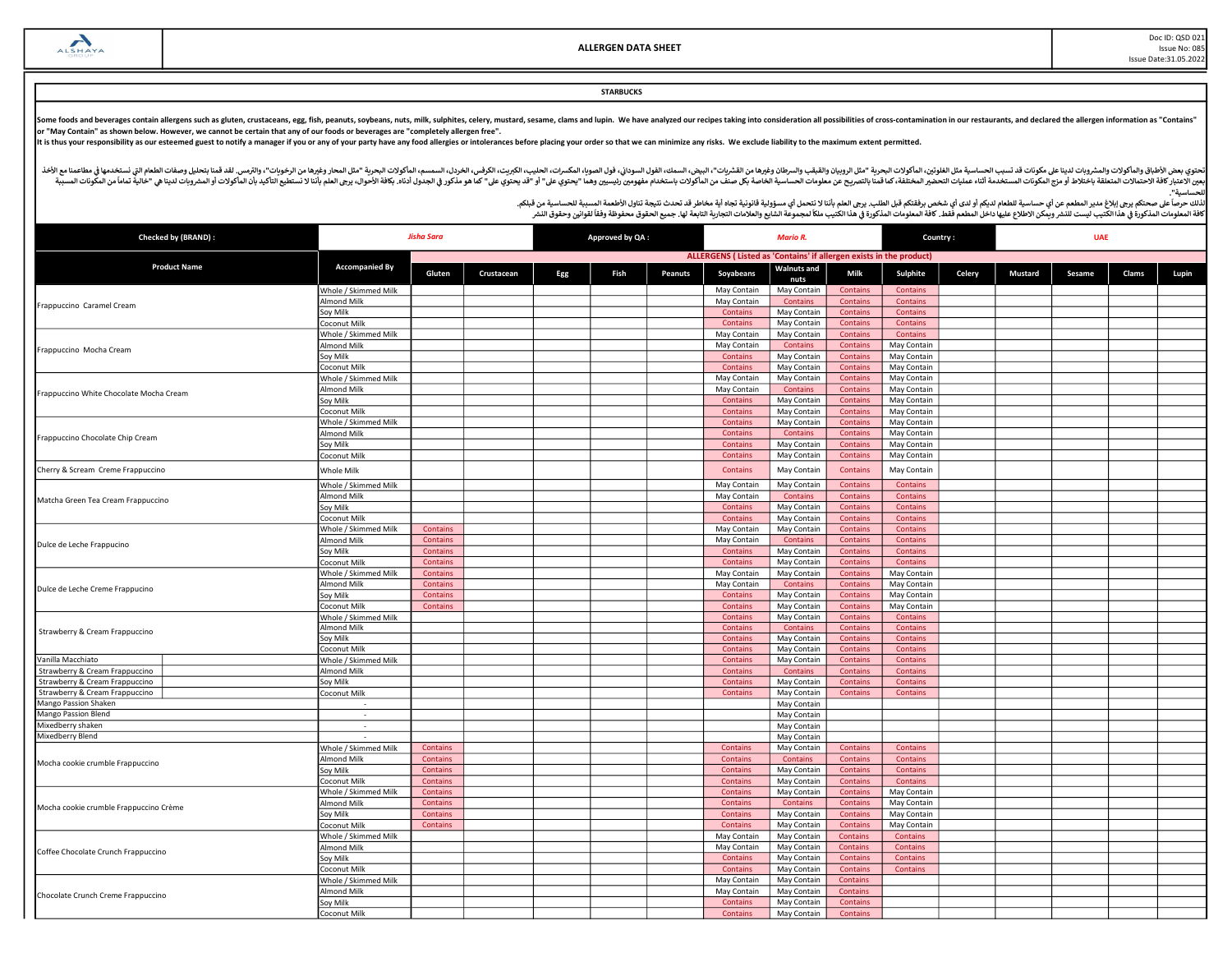#### **STARBUCKS**

Some foods and beverages contain allergens such as gluten, crustaceans, egg, fish, peanuts, soybeans, nuts, milk, sulphites, celery, mustard, sesame, clams and lupin. We have analyzed our recipes taking into consideration

It is thus your responsibility as our esteemed guest to notify a manager if you or any of your party have any food allergies or intolerances before placing your order so that we can minimize any risks. We exclude liability

أفخاله والمأكولات والمشروبات لدينا علىمكونات قد تسبب الحساسية مثل الطغورين الماكولات البودرية "مثل الروبيان والمقب والسودان وغيرها من الشروب والمعاشر ومغرها مناسب الموادا والموداء المروس الموادر الموداء المواس والمعامل الم مستر به المستر به المستر به المستخدمة التاريخية المستر المستر المستر المستر المستر المستر المستر المستر المستر المستر المستر المستر المستر المستر المستر المستر المستر المستر المستر المستر المستر المستر المستر المستر المست للحساسᘭة".

| Checked by (BRAND) :                    | Jisha Sara                  |                 |            | Approved by QA:<br><b>Mario R.</b> |      |         | <b>UAE</b><br>Country:                                             |                            |                 |             |        |                |        |       |       |
|-----------------------------------------|-----------------------------|-----------------|------------|------------------------------------|------|---------|--------------------------------------------------------------------|----------------------------|-----------------|-------------|--------|----------------|--------|-------|-------|
|                                         |                             |                 |            |                                    |      |         | ALLERGENS (Listed as 'Contains' if allergen exists in the product) |                            |                 |             |        |                |        |       |       |
| <b>Product Name</b>                     | <b>Accompanied By</b>       | Gluten          | Crustacean | Egg                                | Fish | Peanuts | Soyabeans                                                          | <b>Walnuts</b> and<br>nuts | Milk            | Sulphite    | Celery | <b>Mustard</b> | Sesame | Clams | Lupin |
|                                         | Whole / Skimmed Milk        |                 |            |                                    |      |         | May Contain                                                        | May Contain                | Contains        | Contains    |        |                |        |       |       |
|                                         | Almond Milk                 |                 |            |                                    |      |         | May Contain                                                        | Contains                   | Contains        | Contains    |        |                |        |       |       |
| Frappuccino Caramel Cream               | Soy Milk                    |                 |            |                                    |      |         | <b>Contains</b>                                                    | May Contain                | <b>Contains</b> | Contains    |        |                |        |       |       |
|                                         | Coconut Milk                |                 |            |                                    |      |         | Contains                                                           | May Contain                | <b>Contains</b> | Contains    |        |                |        |       |       |
|                                         | Whole / Skimmed Milk        |                 |            |                                    |      |         | May Contain                                                        | May Contain                | Contains        | Contains    |        |                |        |       |       |
| Frappuccino Mocha Cream                 | Almond Milk                 |                 |            |                                    |      |         | May Contain                                                        | Contains                   | <b>Contains</b> | May Contain |        |                |        |       |       |
|                                         | Soy Milk                    |                 |            |                                    |      |         | <b>Contains</b>                                                    | May Contain                | Contains        | May Contain |        |                |        |       |       |
|                                         | Coconut Milk                |                 |            |                                    |      |         | <b>Contains</b>                                                    | May Contain                | Contains        | May Contain |        |                |        |       |       |
|                                         | Whole / Skimmed Milk        |                 |            |                                    |      |         | May Contain                                                        | May Contain                | Contains        | May Contain |        |                |        |       |       |
| Frappuccino White Chocolate Mocha Cream | Almond Milk                 |                 |            |                                    |      |         | May Contain                                                        | Contains                   | Contains        | May Contain |        |                |        |       |       |
|                                         | Soy Milk                    |                 |            |                                    |      |         | <b>Contains</b>                                                    | May Contain                | <b>Contains</b> | May Contain |        |                |        |       |       |
|                                         | Coconut Milk                |                 |            |                                    |      |         | Contains                                                           | May Contain                | <b>Contains</b> | May Contain |        |                |        |       |       |
|                                         | <b>Nhole / Skimmed Milk</b> |                 |            |                                    |      |         | Contains                                                           | May Contain                | Contains        | May Contain |        |                |        |       |       |
| Frappuccino Chocolate Chip Cream        | Almond Milk                 |                 |            |                                    |      |         | Contains                                                           | Contains                   | <b>Contains</b> | May Contain |        |                |        |       |       |
|                                         | Soy Milk                    |                 |            |                                    |      |         | Contains                                                           | May Contain                | Contains        | May Contain |        |                |        |       |       |
|                                         | Coconut Milk                |                 |            |                                    |      |         | Contains                                                           | May Contain                | Contains        | May Contain |        |                |        |       |       |
| Cherry & Scream Creme Frappuccino       | Whole Milk                  |                 |            |                                    |      |         | Contains                                                           | May Contain                | Contains        | May Contain |        |                |        |       |       |
|                                         | Whole / Skimmed Milk        |                 |            |                                    |      |         | May Contain                                                        | May Contain                | <b>Contains</b> | Contains    |        |                |        |       |       |
|                                         | Almond Milk                 |                 |            |                                    |      |         | May Contain                                                        | Contains                   | Contains        | Contains    |        |                |        |       |       |
| Matcha Green Tea Cream Frappuccino      | Soy Milk                    |                 |            |                                    |      |         | Contains                                                           | May Contain                | Contains        | Contains    |        |                |        |       |       |
|                                         | Coconut Milk                |                 |            |                                    |      |         | Contains                                                           | May Contain                | Contains        | Contains    |        |                |        |       |       |
|                                         | Whole / Skimmed Milk        | Contains        |            |                                    |      |         | May Contain                                                        | May Contain                | Contains        | Contains    |        |                |        |       |       |
| Dulce de Leche Frappucino               | Almond Milk                 | Contains        |            |                                    |      |         | May Contain                                                        | <b>Contains</b>            | <b>Contains</b> | Contains    |        |                |        |       |       |
|                                         | Soy Milk                    | Contains        |            |                                    |      |         | Contains                                                           | May Contain                | Contains        | Contains    |        |                |        |       |       |
|                                         | Coconut Milk                | Contains        |            |                                    |      |         | Contains                                                           | May Contain                | <b>Contains</b> | Contains    |        |                |        |       |       |
|                                         | Whole / Skimmed Milk        | Contains        |            |                                    |      |         | May Contain                                                        | May Contain                | <b>Contains</b> | May Contain |        |                |        |       |       |
|                                         | Almond Milk                 | Contains        |            |                                    |      |         | May Contain                                                        | Contains                   | <b>Contains</b> | May Contain |        |                |        |       |       |
| Dulce de Leche Creme Frappucino         | Soy Milk                    | Contains        |            |                                    |      |         | Contains                                                           | May Contain                | Contains        | May Contain |        |                |        |       |       |
|                                         | Coconut Milk                | Contains        |            |                                    |      |         | Contains                                                           | May Contain                | <b>Contains</b> | May Contain |        |                |        |       |       |
|                                         | <b>Nhole / Skimmed Milk</b> |                 |            |                                    |      |         | Contains                                                           | May Contain                | Contains        | Contains    |        |                |        |       |       |
| Strawberry & Cream Frappuccino          | Almond Milk                 |                 |            |                                    |      |         | Contains                                                           | Contains                   | Contains        | Contains    |        |                |        |       |       |
|                                         | Soy Milk                    |                 |            |                                    |      |         | Contains                                                           | May Contain                | Contains        | Contains    |        |                |        |       |       |
|                                         | Coconut Milk                |                 |            |                                    |      |         | Contains                                                           | May Contain                | Contains        | Contains    |        |                |        |       |       |
| Vanilla Macchiato                       | Whole / Skimmed Milk        |                 |            |                                    |      |         | Contains                                                           | May Contain                | Contains        | Contains    |        |                |        |       |       |
| Strawberry & Cream Frappuccino          | <b>Almond Milk</b>          |                 |            |                                    |      |         | Contains                                                           | Contains                   | <b>Contains</b> | Contains    |        |                |        |       |       |
| Strawberry & Cream Frappuccino          | Soy Milk                    |                 |            |                                    |      |         | Contains                                                           | May Contain                | Contains        | Contains    |        |                |        |       |       |
| Strawberry & Cream Frappuccino          | Coconut Milk                |                 |            |                                    |      |         | Contains                                                           | May Contain                | Contains        | Contains    |        |                |        |       |       |
| Mango Passion Shaken                    |                             |                 |            |                                    |      |         |                                                                    | May Contain                |                 |             |        |                |        |       |       |
| Mango Passion Blend                     | $\sim$                      |                 |            |                                    |      |         |                                                                    | May Contain                |                 |             |        |                |        |       |       |
| Mixedberry shaken                       | $\sim$                      |                 |            |                                    |      |         |                                                                    | May Contain                |                 |             |        |                |        |       |       |
| Mixedberry Blend                        |                             |                 |            |                                    |      |         |                                                                    | May Contain                |                 |             |        |                |        |       |       |
|                                         | Whole / Skimmed Milk        | Contains        |            |                                    |      |         | Contains                                                           | May Contain                | Contains        | Contains    |        |                |        |       |       |
| Mocha cookie crumble Frappuccino        | <b>Almond Milk</b>          | Contains        |            |                                    |      |         | Contains                                                           | Contains                   | <b>Contains</b> | Contains    |        |                |        |       |       |
|                                         | Soy Milk                    | <b>Contains</b> |            |                                    |      |         | Contains                                                           | May Contain                | <b>Contains</b> | Contains    |        |                |        |       |       |
|                                         | Coconut Milk                | Contains        |            |                                    |      |         | Contains                                                           | May Contain                | <b>Contains</b> | Contains    |        |                |        |       |       |
|                                         | Whole / Skimmed Milk        | Contains        |            |                                    |      |         | Contains                                                           | May Contain                | Contains        | May Contain |        |                |        |       |       |
| Mocha cookie crumble Frappuccino Crème  | Almond Milk                 | <b>Contains</b> |            |                                    |      |         | Contains                                                           | Contains                   | Contains        | May Contain |        |                |        |       |       |
|                                         | Soy Milk                    | Contains        |            |                                    |      |         | Contains                                                           | May Contain                | Contains        | May Contain |        |                |        |       |       |
|                                         | oconut Milk                 | Contains        |            |                                    |      |         | Contains                                                           | May Contain                | Contains        | May Contain |        |                |        |       |       |
|                                         | Whole / Skimmed Milk        |                 |            |                                    |      |         | May Contain                                                        | May Contain                | <b>Contains</b> | Contains    |        |                |        |       |       |
| Coffee Chocolate Crunch Frappuccino     | Almond Milk                 |                 |            |                                    |      |         | May Contain                                                        | May Contain                | <b>Contains</b> | Contains    |        |                |        |       |       |
|                                         | Soy Milk                    |                 |            |                                    |      |         | Contains                                                           | May Contain                | Contains        | Contains    |        |                |        |       |       |
|                                         | Coconut Milk                |                 |            |                                    |      |         | Contains                                                           | May Contain                | <b>Contains</b> | Contains    |        |                |        |       |       |
|                                         | Whole / Skimmed Milk        |                 |            |                                    |      |         | May Contain                                                        | May Contain                | <b>Contains</b> |             |        |                |        |       |       |
| Chocolate Crunch Creme Frappuccino      | Almond Milk                 |                 |            |                                    |      |         | May Contain                                                        | May Contain                | Contains        |             |        |                |        |       |       |
|                                         | Soy Milk                    |                 |            |                                    |      |         | Contains                                                           | May Contain                | <b>Contains</b> |             |        |                |        |       |       |
|                                         | <b>Coconut Milk</b>         |                 |            |                                    |      |         | Contains                                                           | May Contain                | Contains        |             |        |                |        |       |       |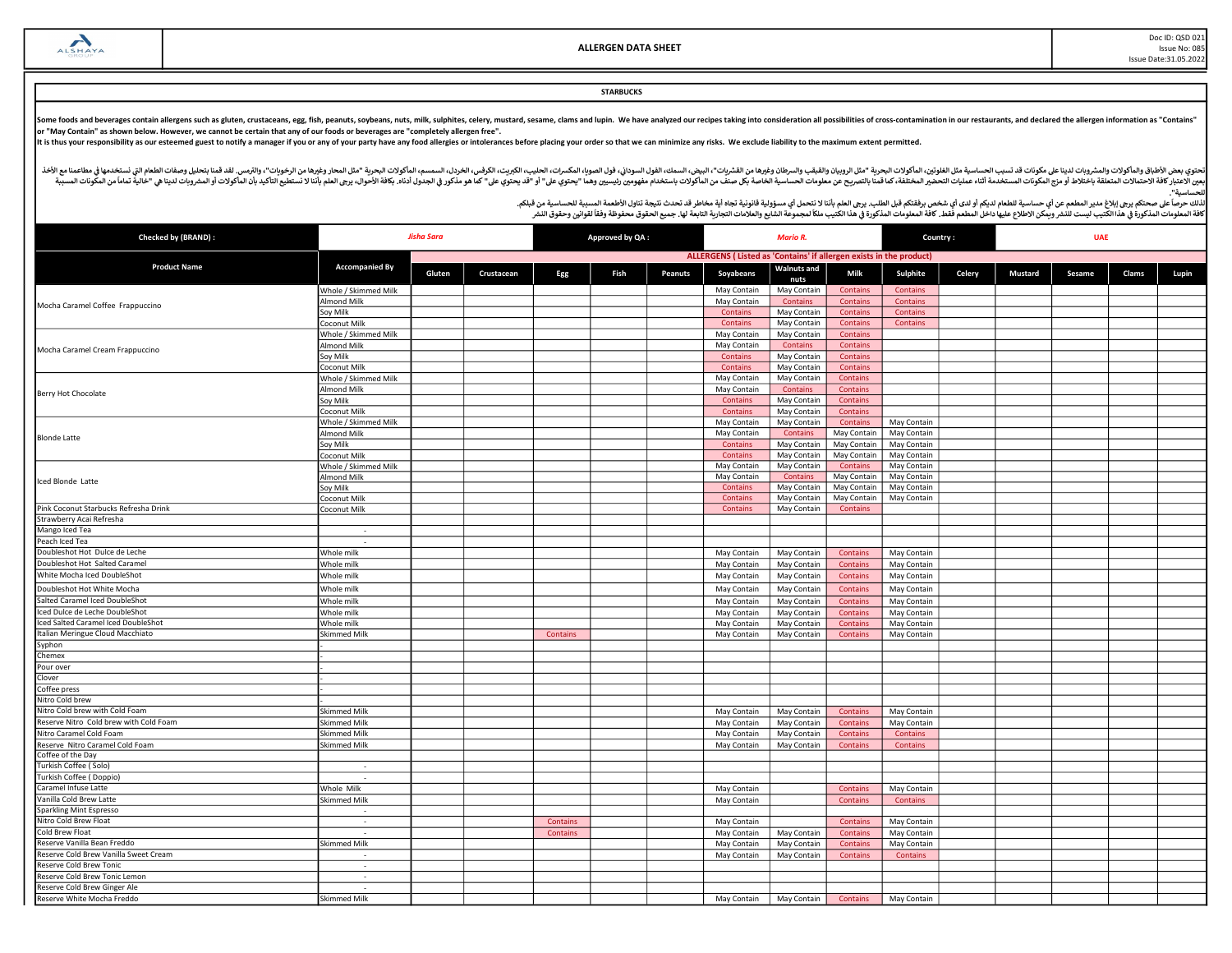Doc ID: QSD 021 Issue No: 085 Issue Date:31.05.2022

## **STARBUCKS**

Some foods and beverages contain allergens such as gluten, crustaceans, egg, fish, peanuts, soybeans, nuts, milk, sulphites, celery, mustard, sesame, clams and lupin. We have analyzed our recipes taking into consideration or "May Contain" as shown below. However, we cannot be certain that any of our foods or beverages are "completely allergen free".

It is thus your responsibility as our esteemed guest to notify a manager if you or any of your party have any food allergies or intolerances before placing your order so that we can minimize any risks. We exclude liability

أفخاله والمأكولات والمشروبات لدينا علىمكونات قد تسبب الحساسية مثل الطغورين الماكولات البودرية "مثل الروبيان والمقب والسودان وغيرها من الشروب والمعاشر ومغرها مناسب الموادا والموداء المروس الموادر الموداء المواس والمعامل الم مستر به المستر به المستر به المستخدمة التاريخية المستر المستر المستر المستر المستر المستر المستر المستر المستر المستر المستر المستر المستر المستر المستر المستر المستر المستر المستر المستر المستر المستر المستر المستر المست للحساسᘭة".

| Checked by (BRAND) :                   | <b>Jisha Sara</b>        |        |            | Approved by QA:<br><b>Mario R.</b> |      |         |                                                                    | Country:                   | <b>UAE</b>      |                 |        |         |        |       |       |
|----------------------------------------|--------------------------|--------|------------|------------------------------------|------|---------|--------------------------------------------------------------------|----------------------------|-----------------|-----------------|--------|---------|--------|-------|-------|
|                                        |                          |        |            |                                    |      |         | ALLERGENS (Listed as 'Contains' if allergen exists in the product) |                            |                 |                 |        |         |        |       |       |
| <b>Product Name</b>                    | <b>Accompanied By</b>    | Gluten | Crustacean | Egg                                | Fish | Peanuts | Soyabeans                                                          | <b>Walnuts and</b><br>nuts | Milk            | Sulphite        | Celery | Mustard | Sesame | Clams | Lupin |
|                                        | Whole / Skimmed Milk     |        |            |                                    |      |         | May Contain                                                        | May Contain                | <b>Contains</b> | <b>Contains</b> |        |         |        |       |       |
| Mocha Caramel Coffee Frappuccino       | Almond Milk              |        |            |                                    |      |         | May Contain                                                        | Contains                   | <b>Contains</b> | Contains        |        |         |        |       |       |
|                                        | Soy Milk                 |        |            |                                    |      |         | Contains                                                           | May Contain                | <b>Contains</b> | <b>Contains</b> |        |         |        |       |       |
|                                        | <b>Coconut Milk</b>      |        |            |                                    |      |         | Contains                                                           | May Contain                | <b>Contains</b> | Contains        |        |         |        |       |       |
|                                        | Whole / Skimmed Milk     |        |            |                                    |      |         | May Contain                                                        | May Contain                | <b>Contains</b> |                 |        |         |        |       |       |
| Mocha Caramel Cream Frappuccino        | Almond Milk              |        |            |                                    |      |         | May Contain                                                        | Contains                   | <b>Contains</b> |                 |        |         |        |       |       |
|                                        | Soy Milk                 |        |            |                                    |      |         | Contains                                                           | May Contain                | <b>Contains</b> |                 |        |         |        |       |       |
|                                        | Coconut Milk             |        |            |                                    |      |         | Contains                                                           | May Contain                | <b>Contains</b> |                 |        |         |        |       |       |
|                                        | Whole / Skimmed Milk     |        |            |                                    |      |         | May Contain                                                        | May Contain                | Contains        |                 |        |         |        |       |       |
| Berry Hot Chocolate                    | Almond Milk              |        |            |                                    |      |         | May Contain                                                        | <b>Contains</b>            | <b>Contains</b> |                 |        |         |        |       |       |
|                                        | oy Milk                  |        |            |                                    |      |         | Contains                                                           | May Contain                | Contains        |                 |        |         |        |       |       |
|                                        | <b>Coconut Milk</b>      |        |            |                                    |      |         | Contains                                                           | May Contain                | Contains        |                 |        |         |        |       |       |
|                                        | Whole / Skimmed Milk     |        |            |                                    |      |         | May Contain                                                        | May Contain                | Contains        | May Contain     |        |         |        |       |       |
| <b>Blonde Latte</b>                    | Almond Milk              |        |            |                                    |      |         | May Contain                                                        | Contains                   | May Contain     | May Contain     |        |         |        |       |       |
|                                        | Soy Milk                 |        |            |                                    |      |         | Contains                                                           | May Contain                | May Contain     | May Contain     |        |         |        |       |       |
|                                        | oconut Milk              |        |            |                                    |      |         | Contains                                                           | May Contain                | May Contain     | May Contain     |        |         |        |       |       |
|                                        | Whole / Skimmed Milk     |        |            |                                    |      |         | May Contain                                                        | May Contain                | <b>Contains</b> | May Contain     |        |         |        |       |       |
| Iced Blonde Latte                      | Almond Milk              |        |            |                                    |      |         | May Contain                                                        | Contains                   | May Contain     | May Contain     |        |         |        |       |       |
|                                        | Sov Milk                 |        |            |                                    |      |         | Contains                                                           | May Contain                | May Contain     | May Contain     |        |         |        |       |       |
|                                        | <b>Coconut Milk</b>      |        |            |                                    |      |         | Contains                                                           | May Contain                | May Contain     | May Contain     |        |         |        |       |       |
| Pink Coconut Starbucks Refresha Drink  | Coconut Milk             |        |            |                                    |      |         | Contains                                                           | May Contain                | Contains        |                 |        |         |        |       |       |
| Strawberry Acai Refresha               |                          |        |            |                                    |      |         |                                                                    |                            |                 |                 |        |         |        |       |       |
| Mango Iced Tea                         | $\sim$                   |        |            |                                    |      |         |                                                                    |                            |                 |                 |        |         |        |       |       |
| Peach Iced Tea                         |                          |        |            |                                    |      |         |                                                                    |                            |                 |                 |        |         |        |       |       |
| Doubleshot Hot Dulce de Leche          | Whole milk               |        |            |                                    |      |         | May Contain                                                        | May Contain                | <b>Contains</b> | May Contain     |        |         |        |       |       |
| Doubleshot Hot Salted Caramel          | Whole milk               |        |            |                                    |      |         | May Contain                                                        | May Contain                | <b>Contains</b> | May Contain     |        |         |        |       |       |
| White Mocha Iced DoubleShot            | Whole milk               |        |            |                                    |      |         | May Contain                                                        | May Contain                | <b>Contains</b> | May Contain     |        |         |        |       |       |
| Doubleshot Hot White Mocha             | Whole milk               |        |            |                                    |      |         | May Contain                                                        | May Contain                | <b>Contains</b> | May Contain     |        |         |        |       |       |
| Salted Caramel Iced DoubleShot         | Whole milk               |        |            |                                    |      |         | May Contain                                                        | May Contain                | Contains        | May Contain     |        |         |        |       |       |
| Iced Dulce de Leche DoubleShot         | Whole milk               |        |            |                                    |      |         | May Contain                                                        | May Contain                | <b>Contains</b> | May Contain     |        |         |        |       |       |
| Iced Salted Caramel Iced DoubleShot    | Whole milk               |        |            |                                    |      |         | May Contain                                                        | May Contain                | <b>Contains</b> | May Contain     |        |         |        |       |       |
| Italian Meringue Cloud Macchiato       | Skimmed Milk             |        |            | Contains                           |      |         | May Contain                                                        | May Contain                | Contains        | May Contain     |        |         |        |       |       |
| Syphon                                 |                          |        |            |                                    |      |         |                                                                    |                            |                 |                 |        |         |        |       |       |
| Chemex                                 |                          |        |            |                                    |      |         |                                                                    |                            |                 |                 |        |         |        |       |       |
| Pour over                              |                          |        |            |                                    |      |         |                                                                    |                            |                 |                 |        |         |        |       |       |
| Clover                                 |                          |        |            |                                    |      |         |                                                                    |                            |                 |                 |        |         |        |       |       |
| Coffee press                           |                          |        |            |                                    |      |         |                                                                    |                            |                 |                 |        |         |        |       |       |
| Nitro Cold brew                        |                          |        |            |                                    |      |         |                                                                    |                            |                 |                 |        |         |        |       |       |
| Nitro Cold brew with Cold Foam         | <b>Skimmed Milk</b>      |        |            |                                    |      |         | May Contain                                                        | May Contain                | Contains        | May Contain     |        |         |        |       |       |
| Reserve Nitro Cold brew with Cold Foam | Skimmed Milk             |        |            |                                    |      |         | May Contain                                                        | May Contain                | <b>Contains</b> | May Contain     |        |         |        |       |       |
| Nitro Caramel Cold Foam                | <b>Skimmed Milk</b>      |        |            |                                    |      |         | May Contain                                                        | May Contain                | <b>Contains</b> | <b>Contains</b> |        |         |        |       |       |
| Reserve Nitro Caramel Cold Foam        | Skimmed Milk             |        |            |                                    |      |         | May Contain                                                        | May Contain                | Contains        | Contains        |        |         |        |       |       |
| Coffee of the Day                      |                          |        |            |                                    |      |         |                                                                    |                            |                 |                 |        |         |        |       |       |
| Turkish Coffee (Solo)                  | $\sim$                   |        |            |                                    |      |         |                                                                    |                            |                 |                 |        |         |        |       |       |
| Turkish Coffee (Doppio)                |                          |        |            |                                    |      |         |                                                                    |                            |                 |                 |        |         |        |       |       |
| Caramel Infuse Latte                   | Whole Milk               |        |            |                                    |      |         | May Contain                                                        |                            | Contains        | May Contain     |        |         |        |       |       |
| Vanilla Cold Brew Latte                | Skimmed Milk             |        |            |                                    |      |         | May Contain                                                        |                            | Contains        | Contains        |        |         |        |       |       |
| Sparkling Mint Espresso                | $\overline{\phantom{a}}$ |        |            |                                    |      |         |                                                                    |                            |                 |                 |        |         |        |       |       |
| Nitro Cold Brew Float                  | ÷.                       |        |            | Contains                           |      |         | May Contain                                                        |                            | <b>Contains</b> | May Contain     |        |         |        |       |       |
| Cold Brew Float                        |                          |        |            | Contains                           |      |         | May Contain                                                        | May Contain                | <b>Contains</b> | May Contain     |        |         |        |       |       |
| Reserve Vanilla Bean Freddo            | <b>Skimmed Milk</b>      |        |            |                                    |      |         | May Contain                                                        | May Contain                | <b>Contains</b> | May Contain     |        |         |        |       |       |
| Reserve Cold Brew Vanilla Sweet Cream  |                          |        |            |                                    |      |         | May Contain                                                        | May Contain                | <b>Contains</b> | Contains        |        |         |        |       |       |
| Reserve Cold Brew Tonic                | $\sim$                   |        |            |                                    |      |         |                                                                    |                            |                 |                 |        |         |        |       |       |
| Reserve Cold Brew Tonic Lemon          | ÷                        |        |            |                                    |      |         |                                                                    |                            |                 |                 |        |         |        |       |       |
| Reserve Cold Brew Ginger Ale           | $\sim$                   |        |            |                                    |      |         |                                                                    |                            |                 |                 |        |         |        |       |       |
| Reserve White Mocha Freddo             | <b>Skimmed Milk</b>      |        |            |                                    |      |         | May Contain                                                        | May Contain                | Contains        | May Contain     |        |         |        |       |       |
|                                        |                          |        |            |                                    |      |         |                                                                    |                            |                 |                 |        |         |        |       |       |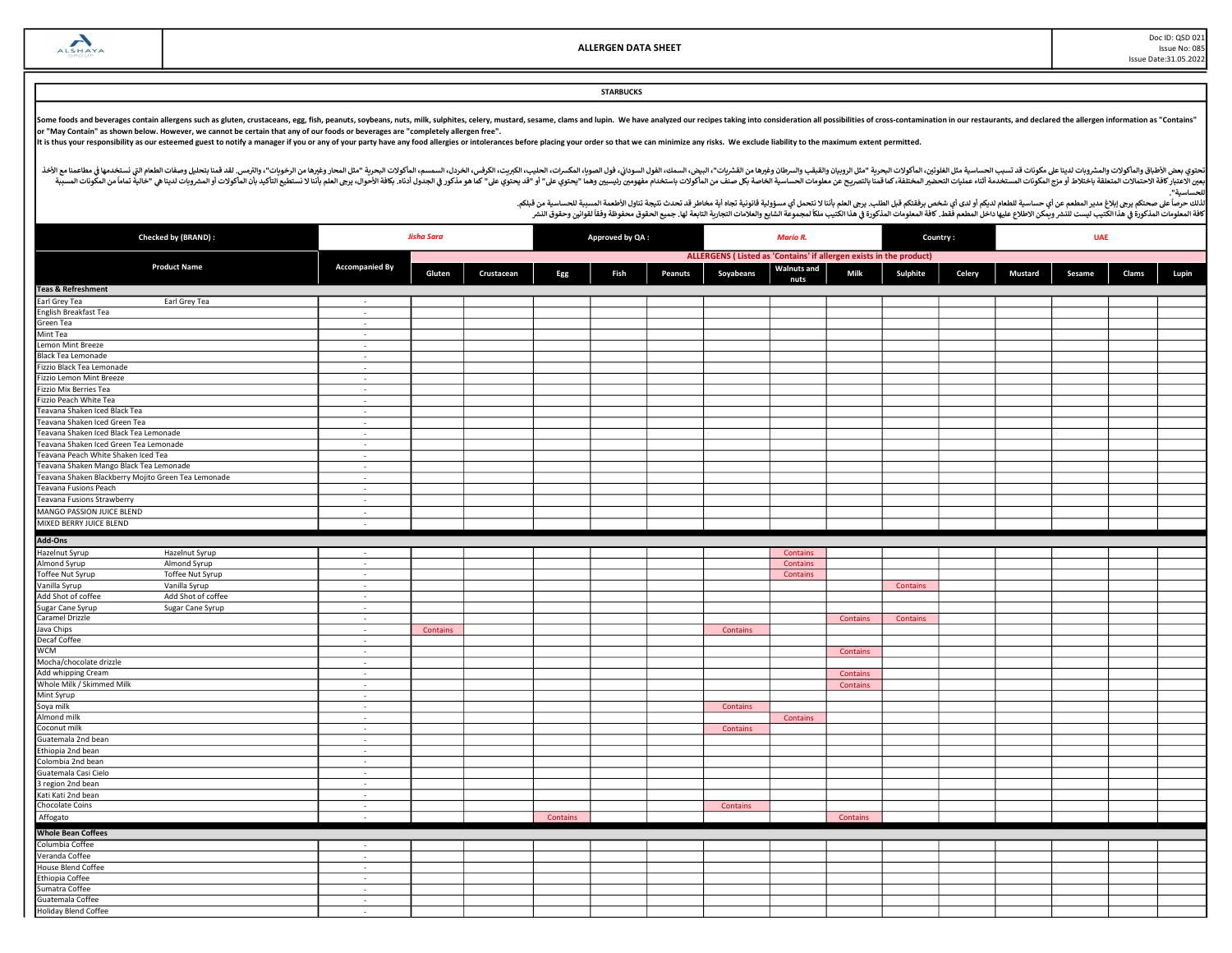Doc ID: QSD 021 Issue No: 085 Issue Date:31.05.2022

**STARBUCKS** 

Some foods and beverages contain allergens such as gluten, crustaceans, egg, fish, peanuts, soybeans, nuts, milk, sulphites, celery, mustard, sesame, clams and lupin. We have analyzed our recipes taking into consideration

It is thus your responsibility as our esteemed guest to notify a manager if you or any of your party have any food allergies or intolerances before placing your order so that we can minimize any risks. We exclude liability

أفخاله والمأكولات والمشروبات لدينا علىمكونات قد تسبب الحساسية مثل الطغورين الماكولات البودرية "مثل الروبيان والمقب والسودان وغيرها من الشروب والمعاشر ومغرها مناسب الموادا والموداء المروس الموادر الموداء المواس والمعامل الم مستر به المستر به المستر به المستخدمة التاريخية المستر المستر المستر المستر المستر المستر المستر المستر المستر المستر المستر المستر المستر المستر المستر المستر المستر المستر المستر المستر المستر المستر المستر المستر المست للحساسᘭة".

| Checked by (BRAND) :                                    |                       | <b>Jisha Sara</b> |            |          | Approved by QA: |         |                                                                    |                            | Country: |          | <b>UAE</b> |         |        |       |       |
|---------------------------------------------------------|-----------------------|-------------------|------------|----------|-----------------|---------|--------------------------------------------------------------------|----------------------------|----------|----------|------------|---------|--------|-------|-------|
|                                                         |                       |                   |            |          |                 |         | ALLERGENS (Listed as 'Contains' if allergen exists in the product) |                            |          |          |            |         |        |       |       |
| <b>Product Name</b>                                     | <b>Accompanied By</b> | Gluten            | Crustacean | Egg      | Fish            | Peanuts | Soyabeans                                                          | <b>Walnuts and</b><br>nuts | Milk     | Sulphite | Celery     | Mustard | Sesame | Clams | Lupin |
| <b>Teas &amp; Refreshment</b>                           |                       |                   |            |          |                 |         |                                                                    |                            |          |          |            |         |        |       |       |
| Earl Grey Tea<br>Earl Grey Tea                          | $\sim$                |                   |            |          |                 |         |                                                                    |                            |          |          |            |         |        |       |       |
| English Breakfast Tea                                   | $\sim$                |                   |            |          |                 |         |                                                                    |                            |          |          |            |         |        |       |       |
| Green Tea                                               | $\sim$                |                   |            |          |                 |         |                                                                    |                            |          |          |            |         |        |       |       |
| Mint Tea                                                | $\sim$                |                   |            |          |                 |         |                                                                    |                            |          |          |            |         |        |       |       |
| Lemon Mint Breeze                                       | $\sim$                |                   |            |          |                 |         |                                                                    |                            |          |          |            |         |        |       |       |
| <b>Black Tea Lemonade</b>                               | $\sim$                |                   |            |          |                 |         |                                                                    |                            |          |          |            |         |        |       |       |
| Fizzio Black Tea Lemonade                               | $\sim$                |                   |            |          |                 |         |                                                                    |                            |          |          |            |         |        |       |       |
| Fizzio Lemon Mint Breeze                                | $\sim$                |                   |            |          |                 |         |                                                                    |                            |          |          |            |         |        |       |       |
| Fizzio Mix Berries Tea                                  | $\sim$                |                   |            |          |                 |         |                                                                    |                            |          |          |            |         |        |       |       |
| Fizzio Peach White Tea                                  | $\sim$                |                   |            |          |                 |         |                                                                    |                            |          |          |            |         |        |       |       |
| Teavana Shaken Iced Black Tea                           | $\sim$                |                   |            |          |                 |         |                                                                    |                            |          |          |            |         |        |       |       |
| Teavana Shaken Iced Green Tea                           | $\sim$                |                   |            |          |                 |         |                                                                    |                            |          |          |            |         |        |       |       |
| Teavana Shaken Iced Black Tea Lemonade                  | $\sim$                |                   |            |          |                 |         |                                                                    |                            |          |          |            |         |        |       |       |
| Teavana Shaken Iced Green Tea Lemonade                  | $\sim$                |                   |            |          |                 |         |                                                                    |                            |          |          |            |         |        |       |       |
| Teavana Peach White Shaken Iced Tea                     | $\sim$                |                   |            |          |                 |         |                                                                    |                            |          |          |            |         |        |       |       |
| Teavana Shaken Mango Black Tea Lemonade                 | $\sim$                |                   |            |          |                 |         |                                                                    |                            |          |          |            |         |        |       |       |
| Teavana Shaken Blackberry Mojito Green Tea Lemonade     | $\sim$                |                   |            |          |                 |         |                                                                    |                            |          |          |            |         |        |       |       |
| Teavana Fusions Peach                                   | $\sim$                |                   |            |          |                 |         |                                                                    |                            |          |          |            |         |        |       |       |
| Teavana Fusions Strawberry                              | $\sim$                |                   |            |          |                 |         |                                                                    |                            |          |          |            |         |        |       |       |
| <b>MANGO PASSION JUICE BLEND</b>                        | $\sim$                |                   |            |          |                 |         |                                                                    |                            |          |          |            |         |        |       |       |
| MIXED BERRY JUICE BLEND                                 | $\sim$                |                   |            |          |                 |         |                                                                    |                            |          |          |            |         |        |       |       |
| Add-Ons                                                 |                       |                   |            |          |                 |         |                                                                    |                            |          |          |            |         |        |       |       |
| Hazelnut Syrup<br>Hazelnut Syrup                        | $\sim$                |                   |            |          |                 |         |                                                                    | Contains                   |          |          |            |         |        |       |       |
| Almond Syrup<br>Almond Syrup                            | $\sim$                |                   |            |          |                 |         |                                                                    | Contains                   |          |          |            |         |        |       |       |
| Toffee Nut Syrup<br>Toffee Nut Syrup                    | $\sim$                |                   |            |          |                 |         |                                                                    | Contains                   |          |          |            |         |        |       |       |
| Vanilla Syrup<br>Vanilla Syrup                          | $\sim$                |                   |            |          |                 |         |                                                                    |                            |          | Contains |            |         |        |       |       |
| Add Shot of coffee<br>Add Shot of coffee                | $\sim$                |                   |            |          |                 |         |                                                                    |                            |          |          |            |         |        |       |       |
| Sugar Cane Syrup<br>Caramel Drizzle<br>Sugar Cane Syrup | $\sim$                |                   |            |          |                 |         |                                                                    |                            |          |          |            |         |        |       |       |
|                                                         | $\sim$                |                   |            |          |                 |         |                                                                    |                            | Contains | Contains |            |         |        |       |       |
| Java Chips                                              | $\sim$                | Contains          |            |          |                 |         | Contains                                                           |                            |          |          |            |         |        |       |       |
| <b>Decaf Coffee</b>                                     | $\sim$                |                   |            |          |                 |         |                                                                    |                            |          |          |            |         |        |       |       |
| <b>WCM</b>                                              | $\sim$                |                   |            |          |                 |         |                                                                    |                            | Contains |          |            |         |        |       |       |
| Mocha/chocolate drizzle                                 | $\sim$                |                   |            |          |                 |         |                                                                    |                            |          |          |            |         |        |       |       |
| Add whipping Cream                                      | $\sim$                |                   |            |          |                 |         |                                                                    |                            | Contains |          |            |         |        |       |       |
| Whole Milk / Skimmed Milk                               | $\sim$                |                   |            |          |                 |         |                                                                    |                            | Contains |          |            |         |        |       |       |
| Mint Syrup                                              | $\sim$                |                   |            |          |                 |         |                                                                    |                            |          |          |            |         |        |       |       |
| Soya milk                                               | $\sim$                |                   |            |          |                 |         | <b>Contains</b>                                                    |                            |          |          |            |         |        |       |       |
| Almond milk                                             | $\sim$                |                   |            |          |                 |         |                                                                    | Contains                   |          |          |            |         |        |       |       |
| Coconut milk                                            | $\sim$                |                   |            |          |                 |         | Contains                                                           |                            |          |          |            |         |        |       |       |
| Guatemala 2nd bean                                      | $\sim$                |                   |            |          |                 |         |                                                                    |                            |          |          |            |         |        |       |       |
| Ethiopia 2nd bean                                       | $\sim$                |                   |            |          |                 |         |                                                                    |                            |          |          |            |         |        |       |       |
| Colombia 2nd bean                                       | $\sim$                |                   |            |          |                 |         |                                                                    |                            |          |          |            |         |        |       |       |
| Guatemala Casi Cielo                                    | $\sim$                |                   |            |          |                 |         |                                                                    |                            |          |          |            |         |        |       |       |
| 3 region 2nd bean                                       | $\sim$                |                   |            |          |                 |         |                                                                    |                            |          |          |            |         |        |       |       |
| Kati Kati 2nd bean                                      | $\sim$                |                   |            |          |                 |         |                                                                    |                            |          |          |            |         |        |       |       |
| Chocolate Coins                                         | $\sim$                |                   |            |          |                 |         | Contains                                                           |                            |          |          |            |         |        |       |       |
| Affogato                                                | $\sim$                |                   |            | Contains |                 |         |                                                                    |                            | Contains |          |            |         |        |       |       |
| <b>Whole Bean Coffees</b>                               |                       |                   |            |          |                 |         |                                                                    |                            |          |          |            |         |        |       |       |
| Columbia Coffee                                         | $\sim$                |                   |            |          |                 |         |                                                                    |                            |          |          |            |         |        |       |       |
| Veranda Coffee                                          | $\sim$                |                   |            |          |                 |         |                                                                    |                            |          |          |            |         |        |       |       |
| <b>House Blend Coffee</b>                               | $\sim$                |                   |            |          |                 |         |                                                                    |                            |          |          |            |         |        |       |       |
| <b>Ethiopia Coffee</b>                                  | $\sim$                |                   |            |          |                 |         |                                                                    |                            |          |          |            |         |        |       |       |
| Sumatra Coffee                                          | $\sim$                |                   |            |          |                 |         |                                                                    |                            |          |          |            |         |        |       |       |
| Guatemala Coffee                                        | $\sim$                |                   |            |          |                 |         |                                                                    |                            |          |          |            |         |        |       |       |
| <b>Holiday Blend Coffee</b>                             | $\sim$                |                   |            |          |                 |         |                                                                    |                            |          |          |            |         |        |       |       |